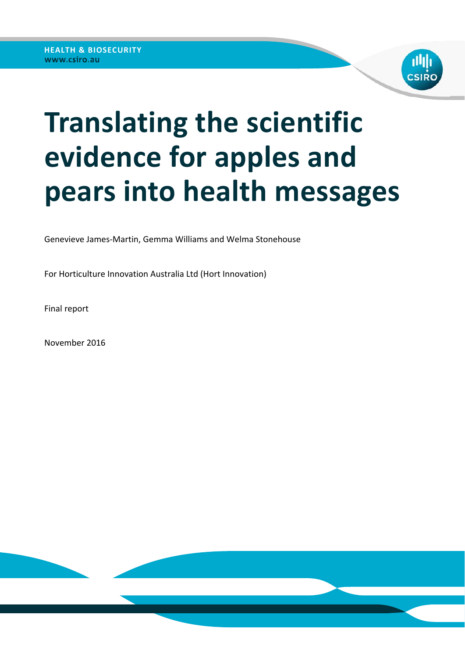

# **Translating the scientific evidence for apples and pears into health messages**

Genevieve James‐Martin, Gemma Williams and Welma Stonehouse

For Horticulture Innovation Australia Ltd (Hort Innovation)

Final report

November 2016

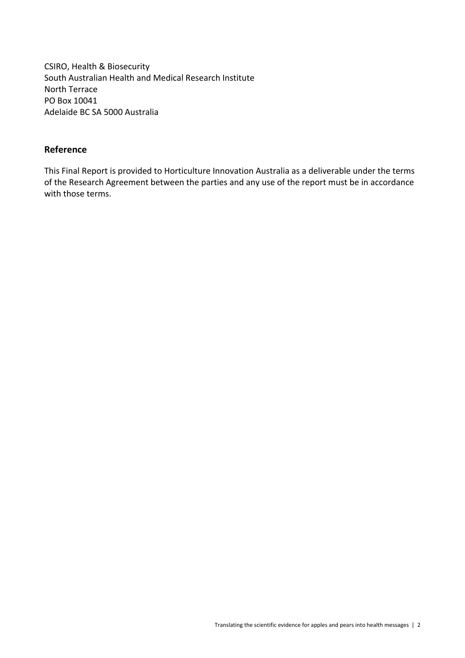CSIRO, Health & Biosecurity South Australian Health and Medical Research Institute North Terrace PO Box 10041 Adelaide BC SA 5000 Australia

#### **Reference**

This Final Report is provided to Horticulture Innovation Australia as a deliverable under the terms of the Research Agreement between the parties and any use of the report must be in accordance with those terms.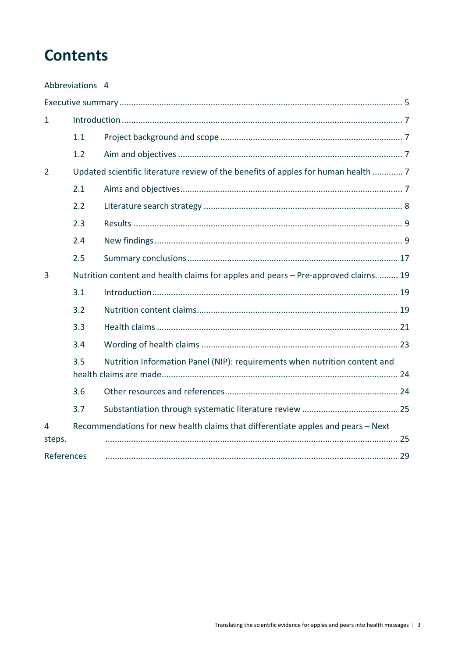# **Contents**

| Abbreviations 4 |     |                                                                                     |  |  |  |  |
|-----------------|-----|-------------------------------------------------------------------------------------|--|--|--|--|
|                 |     |                                                                                     |  |  |  |  |
| 1               |     |                                                                                     |  |  |  |  |
|                 | 1.1 |                                                                                     |  |  |  |  |
|                 | 1.2 |                                                                                     |  |  |  |  |
| $\overline{2}$  |     | Updated scientific literature review of the benefits of apples for human health  7  |  |  |  |  |
|                 | 2.1 |                                                                                     |  |  |  |  |
|                 | 2.2 |                                                                                     |  |  |  |  |
|                 | 2.3 |                                                                                     |  |  |  |  |
|                 | 2.4 |                                                                                     |  |  |  |  |
|                 | 2.5 |                                                                                     |  |  |  |  |
| 3               |     | Nutrition content and health claims for apples and pears - Pre-approved claims.  19 |  |  |  |  |
|                 | 3.1 |                                                                                     |  |  |  |  |
|                 | 3.2 |                                                                                     |  |  |  |  |
|                 | 3.3 |                                                                                     |  |  |  |  |
|                 | 3.4 |                                                                                     |  |  |  |  |
|                 | 3.5 | Nutrition Information Panel (NIP): requirements when nutrition content and          |  |  |  |  |
|                 | 3.6 |                                                                                     |  |  |  |  |
|                 | 3.7 |                                                                                     |  |  |  |  |
| 4               |     | Recommendations for new health claims that differentiate apples and pears - Next    |  |  |  |  |
| steps.          |     |                                                                                     |  |  |  |  |
| References      |     |                                                                                     |  |  |  |  |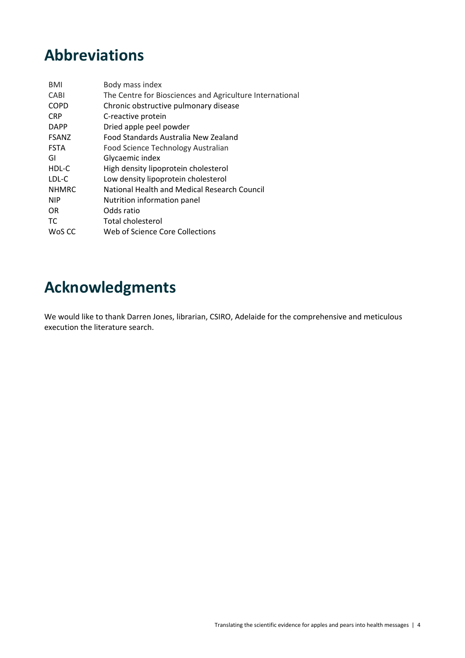# **Abbreviations**

| Body mass index                                          |
|----------------------------------------------------------|
| The Centre for Biosciences and Agriculture International |
| Chronic obstructive pulmonary disease                    |
| C-reactive protein                                       |
| Dried apple peel powder                                  |
| Food Standards Australia New Zealand                     |
| Food Science Technology Australian                       |
| Glycaemic index                                          |
| High density lipoprotein cholesterol                     |
| Low density lipoprotein cholesterol                      |
| National Health and Medical Research Council             |
| Nutrition information panel                              |
| Odds ratio                                               |
| <b>Total cholesterol</b>                                 |
| Web of Science Core Collections                          |
|                                                          |

# **Acknowledgments**

We would like to thank Darren Jones, librarian, CSIRO, Adelaide for the comprehensive and meticulous execution the literature search.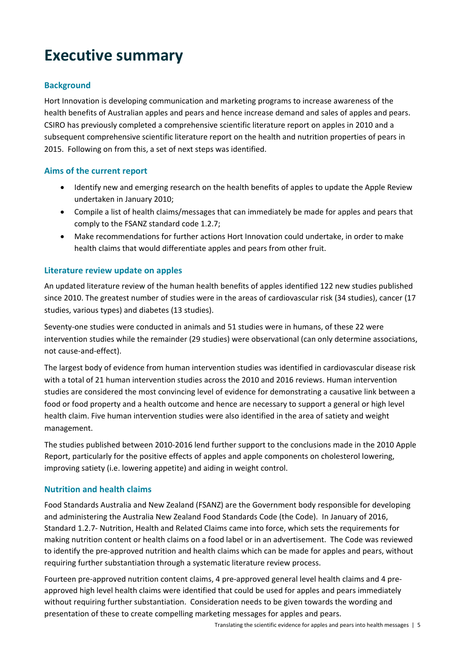# **Executive summary**

#### **Background**

Hort Innovation is developing communication and marketing programs to increase awareness of the health benefits of Australian apples and pears and hence increase demand and sales of apples and pears. CSIRO has previously completed a comprehensive scientific literature report on apples in 2010 and a subsequent comprehensive scientific literature report on the health and nutrition properties of pears in 2015. Following on from this, a set of next steps was identified.

#### **Aims of the current report**

- Identify new and emerging research on the health benefits of apples to update the Apple Review undertaken in January 2010;
- Compile a list of health claims/messages that can immediately be made for apples and pears that comply to the FSANZ standard code 1.2.7;
- Make recommendations for further actions Hort Innovation could undertake, in order to make health claims that would differentiate apples and pears from other fruit.

#### **Literature review update on apples**

An updated literature review of the human health benefits of apples identified 122 new studies published since 2010. The greatest number of studies were in the areas of cardiovascular risk (34 studies), cancer (17 studies, various types) and diabetes (13 studies).

Seventy-one studies were conducted in animals and 51 studies were in humans, of these 22 were intervention studies while the remainder (29 studies) were observational (can only determine associations, not cause‐and‐effect).

The largest body of evidence from human intervention studies was identified in cardiovascular disease risk with a total of 21 human intervention studies across the 2010 and 2016 reviews. Human intervention studies are considered the most convincing level of evidence for demonstrating a causative link between a food or food property and a health outcome and hence are necessary to support a general or high level health claim. Five human intervention studies were also identified in the area of satiety and weight management.

The studies published between 2010‐2016 lend further support to the conclusions made in the 2010 Apple Report, particularly for the positive effects of apples and apple components on cholesterol lowering, improving satiety (i.e. lowering appetite) and aiding in weight control.

#### **Nutrition and health claims**

Food Standards Australia and New Zealand (FSANZ) are the Government body responsible for developing and administering the Australia New Zealand Food Standards Code (the Code). In January of 2016, Standard 1.2.7‐ Nutrition, Health and Related Claims came into force, which sets the requirements for making nutrition content or health claims on a food label or in an advertisement. The Code was reviewed to identify the pre‐approved nutrition and health claims which can be made for apples and pears, without requiring further substantiation through a systematic literature review process.

Fourteen pre‐approved nutrition content claims, 4 pre‐approved general level health claims and 4 pre‐ approved high level health claims were identified that could be used for apples and pears immediately without requiring further substantiation. Consideration needs to be given towards the wording and presentation of these to create compelling marketing messages for apples and pears.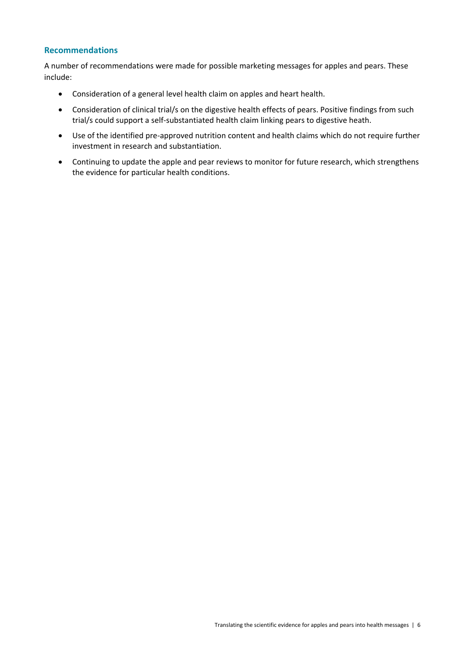#### **Recommendations**

A number of recommendations were made for possible marketing messages for apples and pears. These include:

- Consideration of a general level health claim on apples and heart health.
- Consideration of clinical trial/s on the digestive health effects of pears. Positive findings from such trial/s could support a self‐substantiated health claim linking pears to digestive heath.
- Use of the identified pre‐approved nutrition content and health claims which do not require further investment in research and substantiation.
- Continuing to update the apple and pear reviews to monitor for future research, which strengthens the evidence for particular health conditions.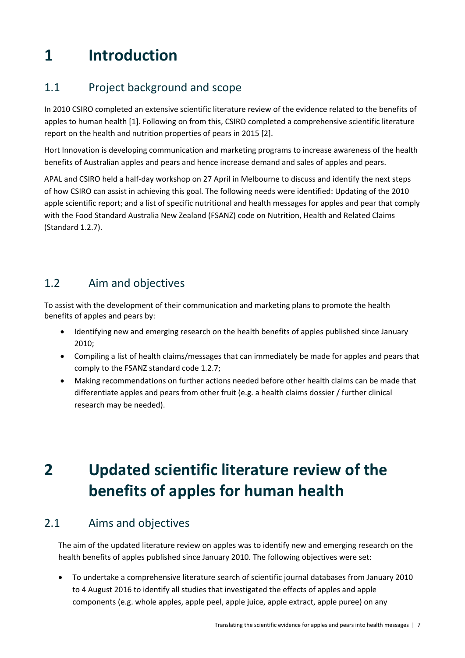# **1 Introduction**

# 1.1 Project background and scope

In 2010 CSIRO completed an extensive scientific literature review of the evidence related to the benefits of apples to human health [1]. Following on from this, CSIRO completed a comprehensive scientific literature report on the health and nutrition properties of pears in 2015 [2].

Hort Innovation is developing communication and marketing programs to increase awareness of the health benefits of Australian apples and pears and hence increase demand and sales of apples and pears.

APAL and CSIRO held a half‐day workshop on 27 April in Melbourne to discuss and identify the next steps of how CSIRO can assist in achieving this goal. The following needs were identified: Updating of the 2010 apple scientific report; and a list of specific nutritional and health messages for apples and pear that comply with the Food Standard Australia New Zealand (FSANZ) code on Nutrition, Health and Related Claims (Standard 1.2.7).

# 1.2 Aim and objectives

To assist with the development of their communication and marketing plans to promote the health benefits of apples and pears by:

- Identifying new and emerging research on the health benefits of apples published since January 2010;
- Compiling a list of health claims/messages that can immediately be made for apples and pears that comply to the FSANZ standard code 1.2.7;
- Making recommendations on further actions needed before other health claims can be made that differentiate apples and pears from other fruit (e.g. a health claims dossier / further clinical research may be needed).

# **2 Updated scientific literature review of the benefits of apples for human health**

# 2.1 Aims and objectives

The aim of the updated literature review on apples was to identify new and emerging research on the health benefits of apples published since January 2010. The following objectives were set:

 To undertake a comprehensive literature search of scientific journal databases from January 2010 to 4 August 2016 to identify all studies that investigated the effects of apples and apple components (e.g. whole apples, apple peel, apple juice, apple extract, apple puree) on any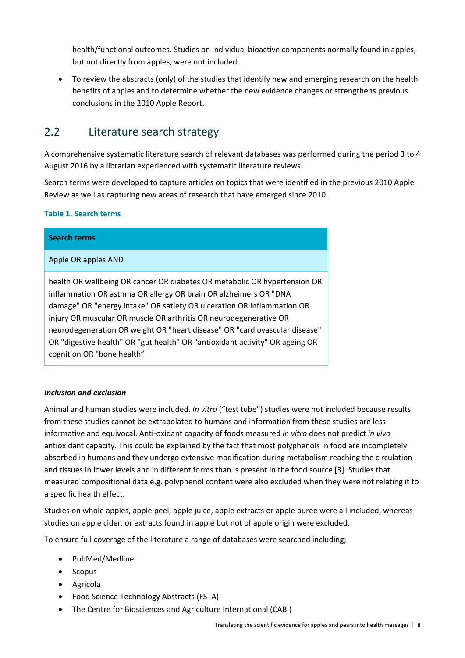health/functional outcomes. Studies on individual bioactive components normally found in apples, but not directly from apples, were not included.

 To review the abstracts (only) of the studies that identify new and emerging research on the health benefits of apples and to determine whether the new evidence changes or strengthens previous conclusions in the 2010 Apple Report.

# 2.2 Literature search strategy

A comprehensive systematic literature search of relevant databases was performed during the period 3 to 4 August 2016 by a librarian experienced with systematic literature reviews.

Search terms were developed to capture articles on topics that were identified in the previous 2010 Apple Review as well as capturing new areas of research that have emerged since 2010.

#### **Table 1. Search terms**

| <b>Search terms</b>                                                                                                                                                                                                                                                                                                                                                                                                                                                                      |
|------------------------------------------------------------------------------------------------------------------------------------------------------------------------------------------------------------------------------------------------------------------------------------------------------------------------------------------------------------------------------------------------------------------------------------------------------------------------------------------|
| Apple OR apples AND                                                                                                                                                                                                                                                                                                                                                                                                                                                                      |
| health OR wellbeing OR cancer OR diabetes OR metabolic OR hypertension OR<br>inflammation OR asthma OR allergy OR brain OR alzheimers OR "DNA<br>damage" OR "energy intake" OR satiety OR ulceration OR inflammation OR<br>injury OR muscular OR muscle OR arthritis OR neurodegenerative OR<br>neurodegeneration OR weight OR "heart disease" OR "cardiovascular disease"<br>OR "digestive health" OR "gut health" OR "antioxidant activity" OR ageing OR<br>cognition OR "bone health" |

#### *Inclusion and exclusion*

Animal and human studies were included. *In vitro* ("test tube") studies were not included because results from these studies cannot be extrapolated to humans and information from these studies are less informative and equivocal. Anti‐oxidant capacity of foods measured *in vitro* does not predict *in vivo* antioxidant capacity. This could be explained by the fact that most polyphenols in food are incompletely absorbed in humans and they undergo extensive modification during metabolism reaching the circulation and tissues in lower levels and in different forms than is present in the food source [3]. Studies that measured compositional data e.g. polyphenol content were also excluded when they were not relating it to a specific health effect.

Studies on whole apples, apple peel, apple juice, apple extracts or apple puree were all included, whereas studies on apple cider, or extracts found in apple but not of apple origin were excluded.

To ensure full coverage of the literature a range of databases were searched including;

- PubMed/Medline
- Scopus
- Agricola
- Food Science Technology Abstracts (FSTA)
- The Centre for Biosciences and Agriculture International (CABI)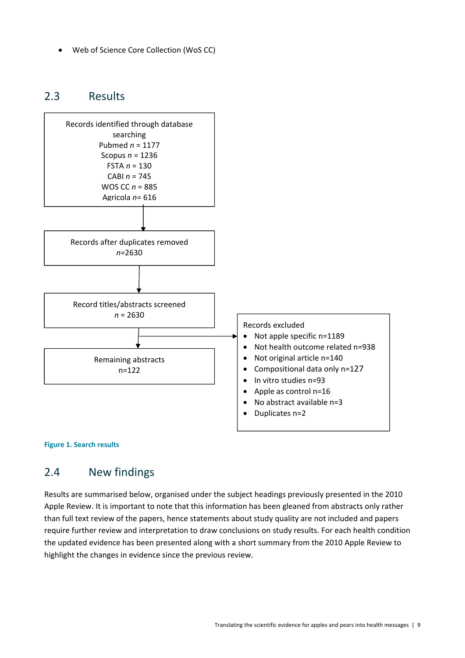Web of Science Core Collection (WoS CC)

### 2.3 Results



#### **Figure 1. Search results**

### 2.4 New findings

Results are summarised below, organised under the subject headings previously presented in the 2010 Apple Review. It is important to note that this information has been gleaned from abstracts only rather than full text review of the papers, hence statements about study quality are not included and papers require further review and interpretation to draw conclusions on study results. For each health condition the updated evidence has been presented along with a short summary from the 2010 Apple Review to highlight the changes in evidence since the previous review.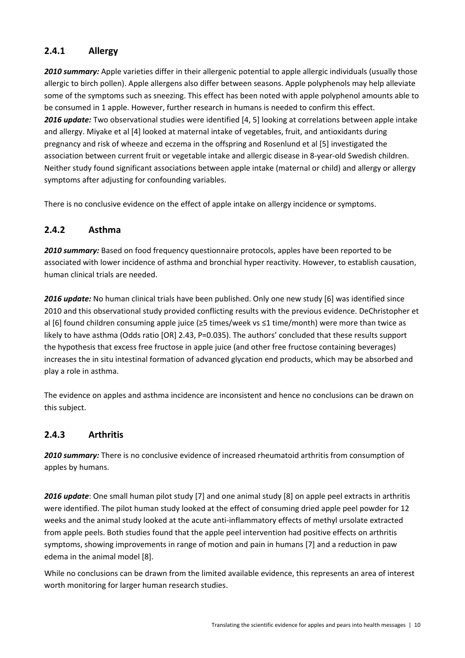#### **2.4.1 Allergy**

2010 summary: Apple varieties differ in their allergenic potential to apple allergic individuals (usually those allergic to birch pollen). Apple allergens also differ between seasons. Apple polyphenols may help alleviate some of the symptoms such as sneezing. This effect has been noted with apple polyphenol amounts able to be consumed in 1 apple. However, further research in humans is needed to confirm this effect. *2016 update:* Two observational studies were identified [4, 5] looking at correlations between apple intake and allergy. Miyake et al [4] looked at maternal intake of vegetables, fruit, and antioxidants during pregnancy and risk of wheeze and eczema in the offspring and Rosenlund et al [5] investigated the association between current fruit or vegetable intake and allergic disease in 8‐year‐old Swedish children. Neither study found significant associations between apple intake (maternal or child) and allergy or allergy symptoms after adjusting for confounding variables.

There is no conclusive evidence on the effect of apple intake on allergy incidence or symptoms.

#### **2.4.2 Asthma**

*2010 summary:* Based on food frequency questionnaire protocols, apples have been reported to be associated with lower incidence of asthma and bronchial hyper reactivity. However, to establish causation, human clinical trials are needed.

*2016 update:* No human clinical trials have been published. Only one new study [6] was identified since 2010 and this observational study provided conflicting results with the previous evidence. DeChristopher et al [6] found children consuming apple juice (≥5 times/week vs ≤1 time/month) were more than twice as likely to have asthma (Odds ratio [OR] 2.43, P=0.035). The authors' concluded that these results support the hypothesis that excess free fructose in apple juice (and other free fructose containing beverages) increases the in situ intestinal formation of advanced glycation end products, which may be absorbed and play a role in asthma.

The evidence on apples and asthma incidence are inconsistent and hence no conclusions can be drawn on this subject.

#### **2.4.3 Arthritis**

*2010 summary:* There is no conclusive evidence of increased rheumatoid arthritis from consumption of apples by humans.

*2016 update*: One small human pilot study [7] and one animal study [8] on apple peel extracts in arthritis were identified. The pilot human study looked at the effect of consuming dried apple peel powder for 12 weeks and the animal study looked at the acute anti-inflammatory effects of methyl ursolate extracted from apple peels. Both studies found that the apple peel intervention had positive effects on arthritis symptoms, showing improvements in range of motion and pain in humans [7] and a reduction in paw edema in the animal model [8].

While no conclusions can be drawn from the limited available evidence, this represents an area of interest worth monitoring for larger human research studies.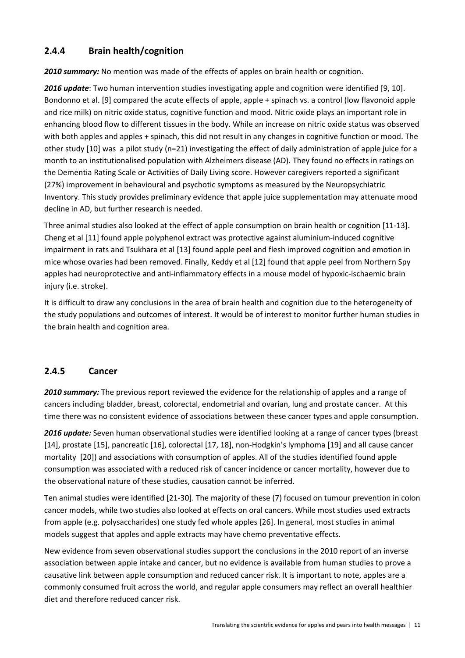#### **2.4.4 Brain health/cognition**

*2010 summary:* No mention was made of the effects of apples on brain health or cognition.

*2016 update*: Two human intervention studies investigating apple and cognition were identified [9, 10]. Bondonno et al. [9] compared the acute effects of apple, apple + spinach vs. a control (low flavonoid apple and rice milk) on nitric oxide status, cognitive function and mood. Nitric oxide plays an important role in enhancing blood flow to different tissues in the body. While an increase on nitric oxide status was observed with both apples and apples + spinach, this did not result in any changes in cognitive function or mood. The other study [10] was a pilot study (n=21) investigating the effect of daily administration of apple juice for a month to an institutionalised population with Alzheimers disease (AD). They found no effects in ratings on the Dementia Rating Scale or Activities of Daily Living score. However caregivers reported a significant (27%) improvement in behavioural and psychotic symptoms as measured by the Neuropsychiatric Inventory. This study provides preliminary evidence that apple juice supplementation may attenuate mood decline in AD, but further research is needed.

Three animal studies also looked at the effect of apple consumption on brain health or cognition [11‐13]. Cheng et al [11] found apple polyphenol extract was protective against aluminium‐induced cognitive impairment in rats and Tsukhara et al [13] found apple peel and flesh improved cognition and emotion in mice whose ovaries had been removed. Finally, Keddy et al [12] found that apple peel from Northern Spy apples had neuroprotective and anti‐inflammatory effects in a mouse model of hypoxic‐ischaemic brain injury (i.e. stroke).

It is difficult to draw any conclusions in the area of brain health and cognition due to the heterogeneity of the study populations and outcomes of interest. It would be of interest to monitor further human studies in the brain health and cognition area.

#### **2.4.5 Cancer**

*2010 summary:* The previous report reviewed the evidence for the relationship of apples and a range of cancers including bladder, breast, colorectal, endometrial and ovarian, lung and prostate cancer. At this time there was no consistent evidence of associations between these cancer types and apple consumption.

*2016 update:* Seven human observational studies were identified looking at a range of cancer types (breast [14], prostate [15], pancreatic [16], colorectal [17, 18], non‐Hodgkin's lymphoma [19] and all cause cancer mortality [20]) and associations with consumption of apples. All of the studies identified found apple consumption was associated with a reduced risk of cancer incidence or cancer mortality, however due to the observational nature of these studies, causation cannot be inferred.

Ten animal studies were identified [21‐30]. The majority of these (7) focused on tumour prevention in colon cancer models, while two studies also looked at effects on oral cancers. While most studies used extracts from apple (e.g. polysaccharides) one study fed whole apples [26]. In general, most studies in animal models suggest that apples and apple extracts may have chemo preventative effects.

New evidence from seven observational studies support the conclusions in the 2010 report of an inverse association between apple intake and cancer, but no evidence is available from human studies to prove a causative link between apple consumption and reduced cancer risk. It is important to note, apples are a commonly consumed fruit across the world, and regular apple consumers may reflect an overall healthier diet and therefore reduced cancer risk.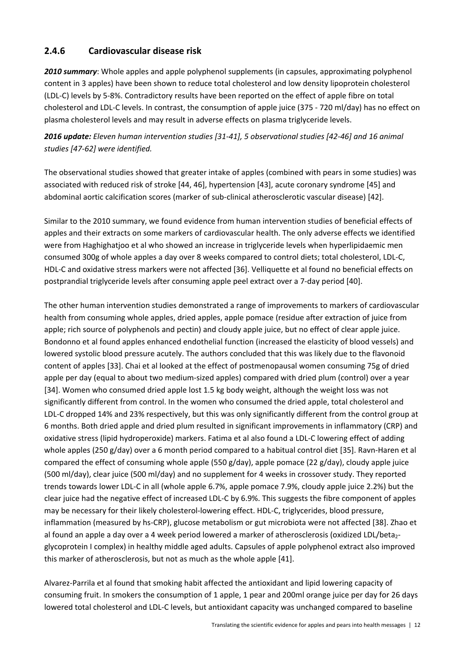#### **2.4.6 Cardiovascular disease risk**

*2010 summary*: Whole apples and apple polyphenol supplements (in capsules, approximating polyphenol content in 3 apples) have been shown to reduce total cholesterol and low density lipoprotein cholesterol (LDL‐C) levels by 5‐8%. Contradictory results have been reported on the effect of apple fibre on total cholesterol and LDL‐C levels. In contrast, the consumption of apple juice (375 ‐ 720 ml/day) has no effect on plasma cholesterol levels and may result in adverse effects on plasma triglyceride levels.

2016 update: Eleven human intervention studies [31-41], 5 observational studies [42-46] and 16 animal *studies [47‐62] were identified.*

The observational studies showed that greater intake of apples (combined with pears in some studies) was associated with reduced risk of stroke [44, 46], hypertension [43], acute coronary syndrome [45] and abdominal aortic calcification scores (marker of sub‐clinical atherosclerotic vascular disease) [42].

Similar to the 2010 summary, we found evidence from human intervention studies of beneficial effects of apples and their extracts on some markers of cardiovascular health. The only adverse effects we identified were from Haghighatjoo et al who showed an increase in triglyceride levels when hyperlipidaemic men consumed 300g of whole apples a day over 8 weeks compared to control diets; total cholesterol, LDL‐C, HDL-C and oxidative stress markers were not affected [36]. Velliquette et al found no beneficial effects on postprandial triglyceride levels after consuming apple peel extract over a 7‐day period [40].

The other human intervention studies demonstrated a range of improvements to markers of cardiovascular health from consuming whole apples, dried apples, apple pomace (residue after extraction of juice from apple; rich source of polyphenols and pectin) and cloudy apple juice, but no effect of clear apple juice. Bondonno et al found apples enhanced endothelial function (increased the elasticity of blood vessels) and lowered systolic blood pressure acutely. The authors concluded that this was likely due to the flavonoid content of apples [33]. Chai et al looked at the effect of postmenopausal women consuming 75g of dried apple per day (equal to about two medium‐sized apples) compared with dried plum (control) over a year [34]. Women who consumed dried apple lost 1.5 kg body weight, although the weight loss was not significantly different from control. In the women who consumed the dried apple, total cholesterol and LDL-C dropped 14% and 23% respectively, but this was only significantly different from the control group at 6 months. Both dried apple and dried plum resulted in significant improvements in inflammatory (CRP) and oxidative stress (lipid hydroperoxide) markers. Fatima et al also found a LDL‐C lowering effect of adding whole apples (250 g/day) over a 6 month period compared to a habitual control diet [35]. Ravn-Haren et al compared the effect of consuming whole apple (550 g/day), apple pomace (22 g/day), cloudy apple juice (500 ml/day), clear juice (500 ml/day) and no supplement for 4 weeks in crossover study. They reported trends towards lower LDL‐C in all (whole apple 6.7%, apple pomace 7.9%, cloudy apple juice 2.2%) but the clear juice had the negative effect of increased LDL‐C by 6.9%. This suggests the fibre component of apples may be necessary for their likely cholesterol-lowering effect. HDL-C, triglycerides, blood pressure, inflammation (measured by hs‐CRP), glucose metabolism or gut microbiota were not affected [38]. Zhao et al found an apple a day over a 4 week period lowered a marker of atherosclerosis (oxidized LDL/beta<sub>2</sub>glycoprotein I complex) in healthy middle aged adults. Capsules of apple polyphenol extract also improved this marker of atherosclerosis, but not as much as the whole apple [41].

Alvarez‐Parrila et al found that smoking habit affected the antioxidant and lipid lowering capacity of consuming fruit. In smokers the consumption of 1 apple, 1 pear and 200ml orange juice per day for 26 days lowered total cholesterol and LDL‐C levels, but antioxidant capacity was unchanged compared to baseline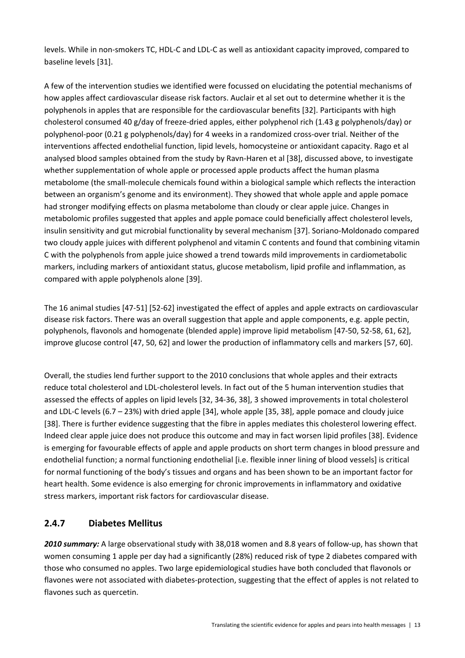levels. While in non‐smokers TC, HDL‐C and LDL‐C as well as antioxidant capacity improved, compared to baseline levels [31].

A few of the intervention studies we identified were focussed on elucidating the potential mechanisms of how apples affect cardiovascular disease risk factors. Auclair et al set out to determine whether it is the polyphenols in apples that are responsible for the cardiovascular benefits [32]. Participants with high cholesterol consumed 40 g/day of freeze‐dried apples, either polyphenol rich (1.43 g polyphenols/day) or polyphenol‐poor (0.21 g polyphenols/day) for 4 weeks in a randomized cross‐over trial. Neither of the interventions affected endothelial function, lipid levels, homocysteine or antioxidant capacity. Rago et al analysed blood samples obtained from the study by Ravn‐Haren et al [38], discussed above, to investigate whether supplementation of whole apple or processed apple products affect the human plasma metabolome (the small‐molecule chemicals found within a biological sample which reflects the interaction between an organism's genome and its environment). They showed that whole apple and apple pomace had stronger modifying effects on plasma metabolome than cloudy or clear apple juice. Changes in metabolomic profiles suggested that apples and apple pomace could beneficially affect cholesterol levels, insulin sensitivity and gut microbial functionality by several mechanism [37]. Soriano‐Moldonado compared two cloudy apple juices with different polyphenol and vitamin C contents and found that combining vitamin C with the polyphenols from apple juice showed a trend towards mild improvements in cardiometabolic markers, including markers of antioxidant status, glucose metabolism, lipid profile and inflammation, as compared with apple polyphenols alone [39].

The 16 animal studies [47‐51] [52‐62] investigated the effect of apples and apple extracts on cardiovascular disease risk factors. There was an overall suggestion that apple and apple components, e.g. apple pectin, polyphenols, flavonols and homogenate (blended apple) improve lipid metabolism [47‐50, 52‐58, 61, 62], improve glucose control [47, 50, 62] and lower the production of inflammatory cells and markers [57, 60].

Overall, the studies lend further support to the 2010 conclusions that whole apples and their extracts reduce total cholesterol and LDL‐cholesterol levels. In fact out of the 5 human intervention studies that assessed the effects of apples on lipid levels [32, 34‐36, 38], 3 showed improvements in total cholesterol and LDL‐C levels (6.7 – 23%) with dried apple [34], whole apple [35, 38], apple pomace and cloudy juice [38]. There is further evidence suggesting that the fibre in apples mediates this cholesterol lowering effect. Indeed clear apple juice does not produce this outcome and may in fact worsen lipid profiles [38]. Evidence is emerging for favourable effects of apple and apple products on short term changes in blood pressure and endothelial function; a normal functioning endothelial [i.e. flexible inner lining of blood vessels] is critical for normal functioning of the body's tissues and organs and has been shown to be an important factor for heart health. Some evidence is also emerging for chronic improvements in inflammatory and oxidative stress markers, important risk factors for cardiovascular disease.

#### **2.4.7 Diabetes Mellitus**

*2010 summary:* A large observational study with 38,018 women and 8.8 years of follow‐up, has shown that women consuming 1 apple per day had a significantly (28%) reduced risk of type 2 diabetes compared with those who consumed no apples. Two large epidemiological studies have both concluded that flavonols or flavones were not associated with diabetes-protection, suggesting that the effect of apples is not related to flavones such as quercetin.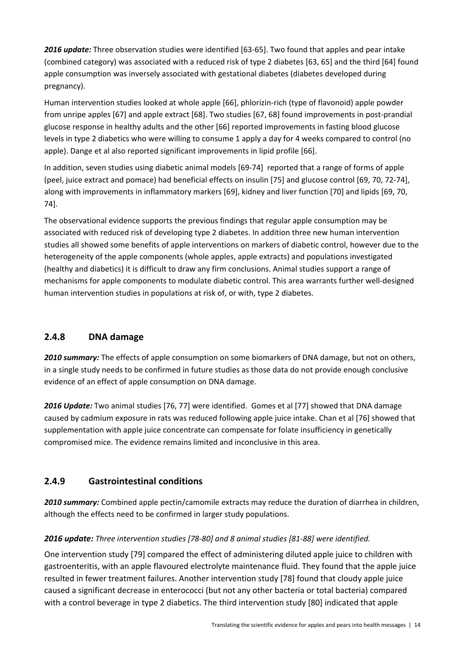*2016 update:* Three observation studies were identified [63‐65]. Two found that apples and pear intake (combined category) was associated with a reduced risk of type 2 diabetes [63, 65] and the third [64] found apple consumption was inversely associated with gestational diabetes (diabetes developed during pregnancy).

Human intervention studies looked at whole apple [66], phlorizin‐rich (type of flavonoid) apple powder from unripe apples [67] and apple extract [68]. Two studies [67, 68] found improvements in post-prandial glucose response in healthy adults and the other [66] reported improvements in fasting blood glucose levels in type 2 diabetics who were willing to consume 1 apply a day for 4 weeks compared to control (no apple). Dange et al also reported significant improvements in lipid profile [66].

In addition, seven studies using diabetic animal models [69-74] reported that a range of forms of apple (peel, juice extract and pomace) had beneficial effects on insulin [75] and glucose control [69, 70, 72‐74], along with improvements in inflammatory markers [69], kidney and liver function [70] and lipids [69, 70, 74].

The observational evidence supports the previous findings that regular apple consumption may be associated with reduced risk of developing type 2 diabetes. In addition three new human intervention studies all showed some benefits of apple interventions on markers of diabetic control, however due to the heterogeneity of the apple components (whole apples, apple extracts) and populations investigated (healthy and diabetics) it is difficult to draw any firm conclusions. Animal studies support a range of mechanisms for apple components to modulate diabetic control. This area warrants further well‐designed human intervention studies in populations at risk of, or with, type 2 diabetes.

#### **2.4.8 DNA damage**

*2010 summary:* The effects of apple consumption on some biomarkers of DNA damage, but not on others, in a single study needs to be confirmed in future studies as those data do not provide enough conclusive evidence of an effect of apple consumption on DNA damage.

*2016 Update:* Two animal studies [76, 77] were identified. Gomes et al [77] showed that DNA damage caused by cadmium exposure in rats was reduced following apple juice intake. Chan et al [76] showed that supplementation with apple juice concentrate can compensate for folate insufficiency in genetically compromised mice. The evidence remains limited and inconclusive in this area.

### **2.4.9 Gastrointestinal conditions**

*2010 summary:* Combined apple pectin/camomile extracts may reduce the duration of diarrhea in children, although the effects need to be confirmed in larger study populations.

#### *2016 update: Three intervention studies [78‐80] and 8 animal studies [81‐88] were identified.*

One intervention study [79] compared the effect of administering diluted apple juice to children with gastroenteritis, with an apple flavoured electrolyte maintenance fluid. They found that the apple juice resulted in fewer treatment failures. Another intervention study [78] found that cloudy apple juice caused a significant decrease in enterococci (but not any other bacteria or total bacteria) compared with a control beverage in type 2 diabetics. The third intervention study [80] indicated that apple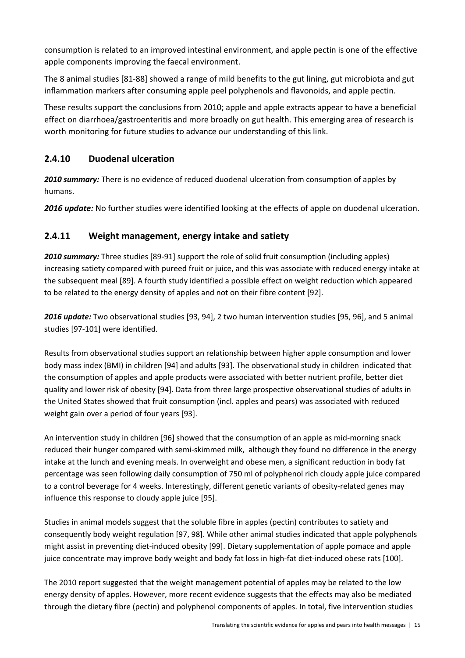consumption is related to an improved intestinal environment, and apple pectin is one of the effective apple components improving the faecal environment.

The 8 animal studies [81‐88] showed a range of mild benefits to the gut lining, gut microbiota and gut inflammation markers after consuming apple peel polyphenols and flavonoids, and apple pectin.

These results support the conclusions from 2010; apple and apple extracts appear to have a beneficial effect on diarrhoea/gastroenteritis and more broadly on gut health. This emerging area of research is worth monitoring for future studies to advance our understanding of this link.

### **2.4.10 Duodenal ulceration**

*2010 summary:* There is no evidence of reduced duodenal ulceration from consumption of apples by humans.

*2016 update:* No further studies were identified looking at the effects of apple on duodenal ulceration.

### **2.4.11 Weight management, energy intake and satiety**

2010 *summary:* Three studies [89-91] support the role of solid fruit consumption (including apples) increasing satiety compared with pureed fruit or juice, and this was associate with reduced energy intake at the subsequent meal [89]. A fourth study identified a possible effect on weight reduction which appeared to be related to the energy density of apples and not on their fibre content [92].

*2016 update:* Two observational studies [93, 94], 2 two human intervention studies [95, 96], and 5 animal studies [97‐101] were identified*.*

Results from observational studies support an relationship between higher apple consumption and lower body mass index (BMI) in children [94] and adults [93]. The observational study in children indicated that the consumption of apples and apple products were associated with better nutrient profile, better diet quality and lower risk of obesity [94]. Data from three large prospective observational studies of adults in the United States showed that fruit consumption (incl. apples and pears) was associated with reduced weight gain over a period of four years [93].

An intervention study in children [96] showed that the consumption of an apple as mid-morning snack reduced their hunger compared with semi‐skimmed milk, although they found no difference in the energy intake at the lunch and evening meals. In overweight and obese men, a significant reduction in body fat percentage was seen following daily consumption of 750 ml of polyphenol rich cloudy apple juice compared to a control beverage for 4 weeks. Interestingly, different genetic variants of obesity-related genes may influence this response to cloudy apple juice [95].

Studies in animal models suggest that the soluble fibre in apples (pectin) contributes to satiety and consequently body weight regulation [97, 98]. While other animal studies indicated that apple polyphenols might assist in preventing diet-induced obesity [99]. Dietary supplementation of apple pomace and apple juice concentrate may improve body weight and body fat loss in high-fat diet-induced obese rats [100].

The 2010 report suggested that the weight management potential of apples may be related to the low energy density of apples. However, more recent evidence suggests that the effects may also be mediated through the dietary fibre (pectin) and polyphenol components of apples. In total, five intervention studies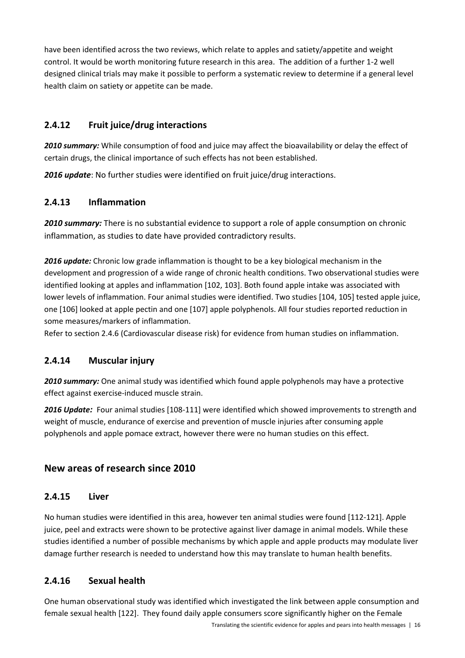have been identified across the two reviews, which relate to apples and satiety/appetite and weight control. It would be worth monitoring future research in this area. The addition of a further 1‐2 well designed clinical trials may make it possible to perform a systematic review to determine if a general level health claim on satiety or appetite can be made.

#### **2.4.12 Fruit juice/drug interactions**

*2010 summary:* While consumption of food and juice may affect the bioavailability or delay the effect of certain drugs, the clinical importance of such effects has not been established.

*2016 update*: No further studies were identified on fruit juice/drug interactions.

#### **2.4.13 Inflammation**

*2010 summary:* There is no substantial evidence to support a role of apple consumption on chronic inflammation, as studies to date have provided contradictory results.

*2016 update:* Chronic low grade inflammation is thought to be a key biological mechanism in the development and progression of a wide range of chronic health conditions. Two observational studies were identified looking at apples and inflammation [102, 103]. Both found apple intake was associated with lower levels of inflammation. Four animal studies were identified. Two studies [104, 105] tested apple juice, one [106] looked at apple pectin and one [107] apple polyphenols. All four studies reported reduction in some measures/markers of inflammation.

Refer to section 2.4.6 (Cardiovascular disease risk) for evidence from human studies on inflammation.

#### **2.4.14 Muscular injury**

*2010 summary:* One animal study was identified which found apple polyphenols may have a protective effect against exercise‐induced muscle strain.

*2016 Update:* Four animal studies [108‐111] were identified which showed improvements to strength and weight of muscle, endurance of exercise and prevention of muscle injuries after consuming apple polyphenols and apple pomace extract, however there were no human studies on this effect.

#### **New areas of research since 2010**

#### **2.4.15 Liver**

No human studies were identified in this area, however ten animal studies were found [112‐121]. Apple juice, peel and extracts were shown to be protective against liver damage in animal models. While these studies identified a number of possible mechanisms by which apple and apple products may modulate liver damage further research is needed to understand how this may translate to human health benefits.

#### **2.4.16 Sexual health**

One human observational study was identified which investigated the link between apple consumption and female sexual health [122]. They found daily apple consumers score significantly higher on the Female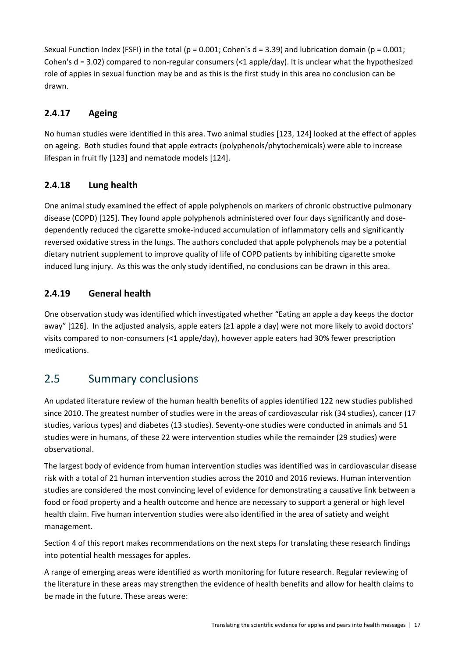Sexual Function Index (FSFI) in the total (p = 0.001; Cohen's  $d = 3.39$ ) and lubrication domain (p = 0.001; Cohen's  $d = 3.02$ ) compared to non-regular consumers (<1 apple/day). It is unclear what the hypothesized role of apples in sexual function may be and as this is the first study in this area no conclusion can be drawn.

### **2.4.17 Ageing**

No human studies were identified in this area. Two animal studies [123, 124] looked at the effect of apples on ageing. Both studies found that apple extracts (polyphenols/phytochemicals) were able to increase lifespan in fruit fly [123] and nematode models [124].

### **2.4.18 Lung health**

One animal study examined the effect of apple polyphenols on markers of chronic obstructive pulmonary disease (COPD) [125]. They found apple polyphenols administered over four days significantly and dose‐ dependently reduced the cigarette smoke-induced accumulation of inflammatory cells and significantly reversed oxidative stress in the lungs. The authors concluded that apple polyphenols may be a potential dietary nutrient supplement to improve quality of life of COPD patients by inhibiting cigarette smoke induced lung injury. As this was the only study identified, no conclusions can be drawn in this area.

### **2.4.19 General health**

One observation study was identified which investigated whether "Eating an apple a day keeps the doctor away" [126]. In the adjusted analysis, apple eaters (≥1 apple a day) were not more likely to avoid doctors' visits compared to non‐consumers (<1 apple/day), however apple eaters had 30% fewer prescription medications.

# 2.5 Summary conclusions

An updated literature review of the human health benefits of apples identified 122 new studies published since 2010. The greatest number of studies were in the areas of cardiovascular risk (34 studies), cancer (17 studies, various types) and diabetes (13 studies). Seventy‐one studies were conducted in animals and 51 studies were in humans, of these 22 were intervention studies while the remainder (29 studies) were observational.

The largest body of evidence from human intervention studies was identified was in cardiovascular disease risk with a total of 21 human intervention studies across the 2010 and 2016 reviews. Human intervention studies are considered the most convincing level of evidence for demonstrating a causative link between a food or food property and a health outcome and hence are necessary to support a general or high level health claim. Five human intervention studies were also identified in the area of satiety and weight management.

Section 4 of this report makes recommendations on the next steps for translating these research findings into potential health messages for apples.

A range of emerging areas were identified as worth monitoring for future research. Regular reviewing of the literature in these areas may strengthen the evidence of health benefits and allow for health claims to be made in the future. These areas were: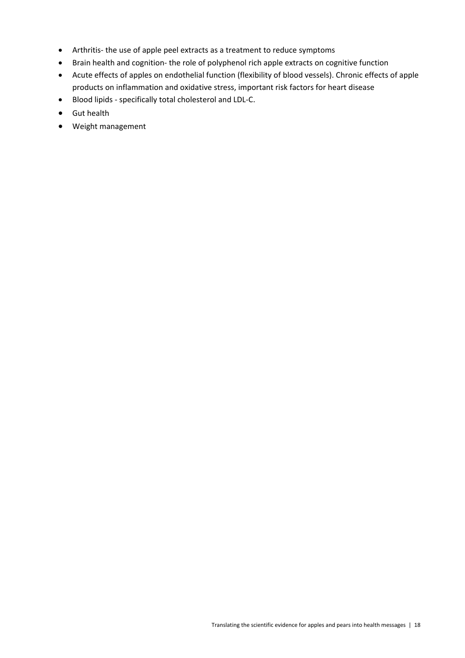- Arthritis- the use of apple peel extracts as a treatment to reduce symptoms
- Brain health and cognition- the role of polyphenol rich apple extracts on cognitive function
- Acute effects of apples on endothelial function (flexibility of blood vessels). Chronic effects of apple products on inflammation and oxidative stress, important risk factors for heart disease
- Blood lipids specifically total cholesterol and LDL-C.
- **•** Gut health
- Weight management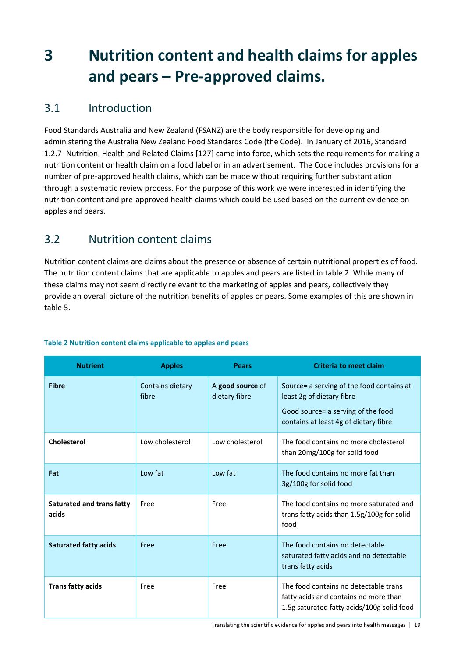# **3 Nutrition content and health claims for apples and pears – Pre‐approved claims.**

# 3.1 Introduction

Food Standards Australia and New Zealand (FSANZ) are the body responsible for developing and administering the Australia New Zealand Food Standards Code (the Code). In January of 2016, Standard 1.2.7‐ Nutrition, Health and Related Claims [127] came into force, which sets the requirements for making a nutrition content or health claim on a food label or in an advertisement. The Code includes provisions for a number of pre‐approved health claims, which can be made without requiring further substantiation through a systematic review process. For the purpose of this work we were interested in identifying the nutrition content and pre‐approved health claims which could be used based on the current evidence on apples and pears.

# 3.2 Nutrition content claims

Nutrition content claims are claims about the presence or absence of certain nutritional properties of food. The nutrition content claims that are applicable to apples and pears are listed in table 2. While many of these claims may not seem directly relevant to the marketing of apples and pears, collectively they provide an overall picture of the nutrition benefits of apples or pears. Some examples of this are shown in table 5.

| <b>Nutrient</b>                    | <b>Apples</b>             | <b>Pears</b>                      | <b>Criteria to meet claim</b>                                                                                                                          |  |
|------------------------------------|---------------------------|-----------------------------------|--------------------------------------------------------------------------------------------------------------------------------------------------------|--|
| <b>Fibre</b>                       | Contains dietary<br>fibre | A good source of<br>dietary fibre | Source= a serving of the food contains at<br>least 2g of dietary fibre<br>Good source = a serving of the food<br>contains at least 4g of dietary fibre |  |
| <b>Cholesterol</b>                 | Low cholesterol           | Low cholesterol                   | The food contains no more cholesterol<br>than 20mg/100g for solid food                                                                                 |  |
| Fat                                | Low fat                   | Low fat                           | The food contains no more fat than<br>3g/100g for solid food                                                                                           |  |
| Saturated and trans fatty<br>acids | Free                      | Free                              | The food contains no more saturated and<br>trans fatty acids than 1.5g/100g for solid<br>food                                                          |  |
| <b>Saturated fatty acids</b>       | Free                      | Free                              | The food contains no detectable<br>saturated fatty acids and no detectable<br>trans fatty acids                                                        |  |
| <b>Trans fatty acids</b>           | Free                      | Free                              | The food contains no detectable trans<br>fatty acids and contains no more than<br>1.5g saturated fatty acids/100g solid food                           |  |

#### **Table 2 Nutrition content claims applicable to apples and pears**

Translating the scientific evidence for apples and pears into health messages | 19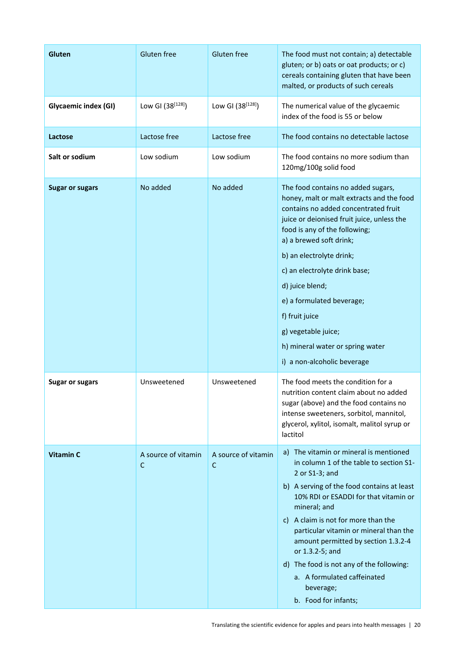| Gluten free<br><b>Gluten</b><br><b>Gluten free</b> |                          | The food must not contain; a) detectable<br>gluten; or b) oats or oat products; or c)<br>cereals containing gluten that have been<br>malted, or products of such cereals |                                                                                                                                                                                                                                                                                                                                                                                                                                                                          |
|----------------------------------------------------|--------------------------|--------------------------------------------------------------------------------------------------------------------------------------------------------------------------|--------------------------------------------------------------------------------------------------------------------------------------------------------------------------------------------------------------------------------------------------------------------------------------------------------------------------------------------------------------------------------------------------------------------------------------------------------------------------|
| Glycaemic index (GI)                               | Low GI (38[128])         | Low GI $(38^{[128]})$                                                                                                                                                    | The numerical value of the glycaemic<br>index of the food is 55 or below                                                                                                                                                                                                                                                                                                                                                                                                 |
| Lactose                                            | Lactose free             | Lactose free                                                                                                                                                             | The food contains no detectable lactose                                                                                                                                                                                                                                                                                                                                                                                                                                  |
| Salt or sodium                                     | Low sodium               | Low sodium                                                                                                                                                               | The food contains no more sodium than<br>120mg/100g solid food                                                                                                                                                                                                                                                                                                                                                                                                           |
| <b>Sugar or sugars</b>                             | No added                 | No added                                                                                                                                                                 | The food contains no added sugars,<br>honey, malt or malt extracts and the food<br>contains no added concentrated fruit<br>juice or deionised fruit juice, unless the<br>food is any of the following;<br>a) a brewed soft drink;<br>b) an electrolyte drink;<br>c) an electrolyte drink base;<br>d) juice blend;<br>e) a formulated beverage;<br>f) fruit juice<br>g) vegetable juice;<br>h) mineral water or spring water<br>i) a non-alcoholic beverage               |
| <b>Sugar or sugars</b>                             | Unsweetened              | Unsweetened                                                                                                                                                              | The food meets the condition for a<br>nutrition content claim about no added<br>sugar (above) and the food contains no<br>intense sweeteners, sorbitol, mannitol,<br>glycerol, xylitol, isomalt, malitol syrup or<br>lactitol                                                                                                                                                                                                                                            |
| <b>Vitamin C</b>                                   | A source of vitamin<br>C | A source of vitamin<br>C                                                                                                                                                 | a) The vitamin or mineral is mentioned<br>in column 1 of the table to section S1-<br>2 or S1-3; and<br>b) A serving of the food contains at least<br>10% RDI or ESADDI for that vitamin or<br>mineral; and<br>A claim is not for more than the<br>C)<br>particular vitamin or mineral than the<br>amount permitted by section 1.3.2-4<br>or 1.3.2-5; and<br>d) The food is not any of the following:<br>a. A formulated caffeinated<br>beverage;<br>b. Food for infants; |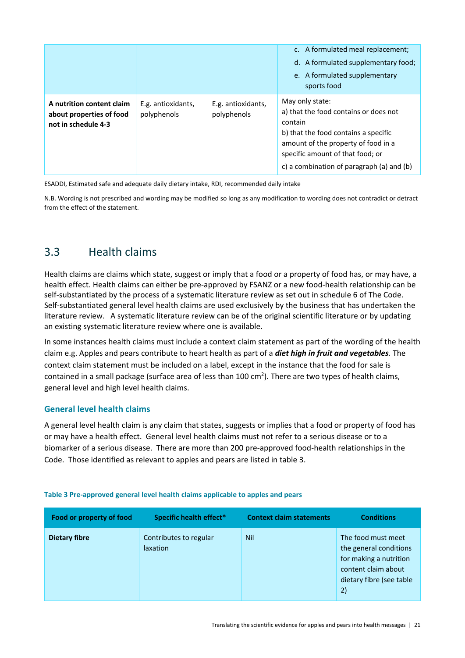|                                                                              |                                   |                                   | c. A formulated meal replacement;<br>d. A formulated supplementary food;<br>e. A formulated supplementary<br>sports food                                                                                                            |
|------------------------------------------------------------------------------|-----------------------------------|-----------------------------------|-------------------------------------------------------------------------------------------------------------------------------------------------------------------------------------------------------------------------------------|
| A nutrition content claim<br>about properties of food<br>not in schedule 4-3 | E.g. antioxidants,<br>polyphenols | E.g. antioxidants,<br>polyphenols | May only state:<br>a) that the food contains or does not<br>contain<br>b) that the food contains a specific<br>amount of the property of food in a<br>specific amount of that food; or<br>c) a combination of paragraph (a) and (b) |

ESADDI, Estimated safe and adequate daily dietary intake, RDI, recommended daily intake

N.B. Wording is not prescribed and wording may be modified so long as any modification to wording does not contradict or detract from the effect of the statement.

## 3.3 Health claims

Health claims are claims which state, suggest or imply that a food or a property of food has, or may have, a health effect. Health claims can either be pre-approved by FSANZ or a new food-health relationship can be self-substantiated by the process of a systematic literature review as set out in schedule 6 of The Code. Self-substantiated general level health claims are used exclusively by the business that has undertaken the literature review. A systematic literature review can be of the original scientific literature or by updating an existing systematic literature review where one is available.

In some instances health claims must include a context claim statement as part of the wording of the health claim e.g. Apples and pears contribute to heart health as part of a *diet high in fruit and vegetables.* The context claim statement must be included on a label, except in the instance that the food for sale is contained in a small package (surface area of less than 100 cm<sup>2</sup>). There are two types of health claims, general level and high level health claims.

#### **General level health claims**

A general level health claim is any claim that states, suggests or implies that a food or property of food has or may have a health effect. General level health claims must not refer to a serious disease or to a biomarker of a serious disease. There are more than 200 pre‐approved food‐health relationships in the Code. Those identified as relevant to apples and pears are listed in table 3.

| Food or property of food | Specific health effect*                   | <b>Context claim statements</b> | <b>Conditions</b>                                                                                                               |
|--------------------------|-------------------------------------------|---------------------------------|---------------------------------------------------------------------------------------------------------------------------------|
| <b>Dietary fibre</b>     | Contributes to regular<br><i>laxation</i> | <b>Nil</b>                      | The food must meet<br>the general conditions<br>for making a nutrition<br>content claim about<br>dietary fibre (see table<br>2) |

#### **Table 3 Pre‐approved general level health claims applicable to apples and pears**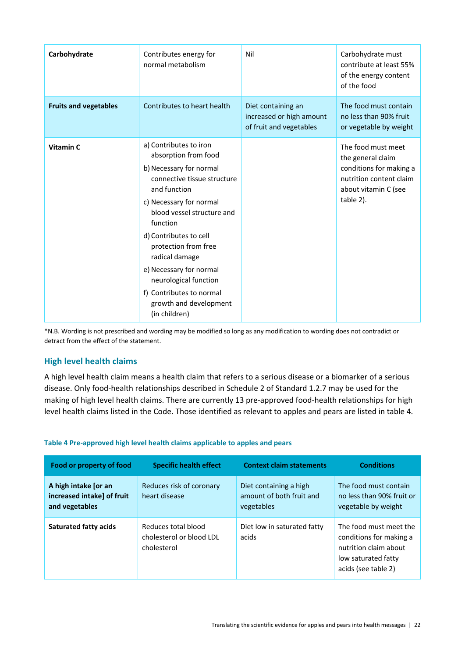| Carbohydrate                 | Contributes energy for<br>normal metabolism                                                                                                                                                                                                                                                                                                                                                  | Nil                                                                       | Carbohydrate must<br>contribute at least 55%<br>of the energy content<br>of the food                                               |
|------------------------------|----------------------------------------------------------------------------------------------------------------------------------------------------------------------------------------------------------------------------------------------------------------------------------------------------------------------------------------------------------------------------------------------|---------------------------------------------------------------------------|------------------------------------------------------------------------------------------------------------------------------------|
| <b>Fruits and vegetables</b> | Contributes to heart health                                                                                                                                                                                                                                                                                                                                                                  | Diet containing an<br>increased or high amount<br>of fruit and vegetables | The food must contain<br>no less than 90% fruit<br>or vegetable by weight                                                          |
| Vitamin C                    | a) Contributes to iron<br>absorption from food<br>b) Necessary for normal<br>connective tissue structure<br>and function<br>c) Necessary for normal<br>blood vessel structure and<br>function<br>d) Contributes to cell<br>protection from free<br>radical damage<br>e) Necessary for normal<br>neurological function<br>f) Contributes to normal<br>growth and development<br>(in children) |                                                                           | The food must meet<br>the general claim<br>conditions for making a<br>nutrition content claim<br>about vitamin C (see<br>table 2). |

\*N.B. Wording is not prescribed and wording may be modified so long as any modification to wording does not contradict or detract from the effect of the statement.

#### **High level health claims**

A high level health claim means a health claim that refers to a serious disease or a biomarker of a serious disease. Only food‐health relationships described in Schedule 2 of Standard 1.2.7 may be used for the making of high level health claims. There are currently 13 pre‐approved food‐health relationships for high level health claims listed in the Code. Those identified as relevant to apples and pears are listed in table 4.

| Food or property of food                                             | <b>Specific health effect</b>                                  | <b>Context claim statements</b>                                  | <b>Conditions</b>                                                                                                        |
|----------------------------------------------------------------------|----------------------------------------------------------------|------------------------------------------------------------------|--------------------------------------------------------------------------------------------------------------------------|
| A high intake [or an<br>increased intake] of fruit<br>and vegetables | Reduces risk of coronary<br>heart disease                      | Diet containing a high<br>amount of both fruit and<br>vegetables | The food must contain<br>no less than 90% fruit or<br>vegetable by weight                                                |
| <b>Saturated fatty acids</b>                                         | Reduces total blood<br>cholesterol or blood LDL<br>cholesterol | Diet low in saturated fatty<br>acids                             | The food must meet the<br>conditions for making a<br>nutrition claim about<br>low saturated fatty<br>acids (see table 2) |

#### **Table 4 Pre‐approved high level health claims applicable to apples and pears**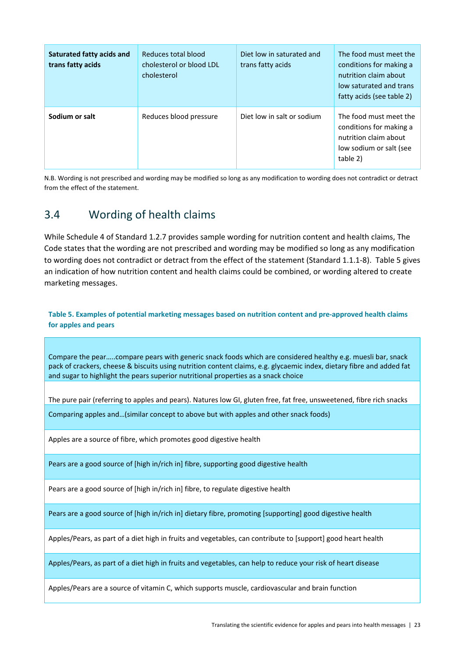| Saturated fatty acids and<br>trans fatty acids | Reduces total blood<br>cholesterol or blood LDL<br>cholesterol | Diet low in saturated and<br>trans fatty acids | The food must meet the<br>conditions for making a<br>nutrition claim about<br>low saturated and trans<br>fatty acids (see table 2) |
|------------------------------------------------|----------------------------------------------------------------|------------------------------------------------|------------------------------------------------------------------------------------------------------------------------------------|
| Sodium or salt                                 | Reduces blood pressure                                         | Diet low in salt or sodium                     | The food must meet the<br>conditions for making a<br>nutrition claim about<br>low sodium or salt (see<br>table 2)                  |

N.B. Wording is not prescribed and wording may be modified so long as any modification to wording does not contradict or detract from the effect of the statement.

# 3.4 Wording of health claims

While Schedule 4 of Standard 1.2.7 provides sample wording for nutrition content and health claims, The Code states that the wording are not prescribed and wording may be modified so long as any modification to wording does not contradict or detract from the effect of the statement (Standard 1.1.1‐8). Table 5 gives an indication of how nutrition content and health claims could be combined, or wording altered to create marketing messages.

**Table 5. Examples of potential marketing messages based on nutrition content and pre‐approved health claims for apples and pears** 

Compare the pear…..compare pears with generic snack foods which are considered healthy e.g. muesli bar, snack pack of crackers, cheese & biscuits using nutrition content claims, e.g. glycaemic index, dietary fibre and added fat and sugar to highlight the pears superior nutritional properties as a snack choice

The pure pair (referring to apples and pears). Natures low GI, gluten free, fat free, unsweetened, fibre rich snacks

Comparing apples and…(similar concept to above but with apples and other snack foods)

Apples are a source of fibre, which promotes good digestive health

Pears are a good source of [high in/rich in] fibre, supporting good digestive health

Pears are a good source of [high in/rich in] fibre, to regulate digestive health

Pears are a good source of [high in/rich in] dietary fibre, promoting [supporting] good digestive health

Apples/Pears, as part of a diet high in fruits and vegetables, can contribute to [support] good heart health

Apples/Pears, as part of a diet high in fruits and vegetables, can help to reduce your risk of heart disease

Apples/Pears are a source of vitamin C, which supports muscle, cardiovascular and brain function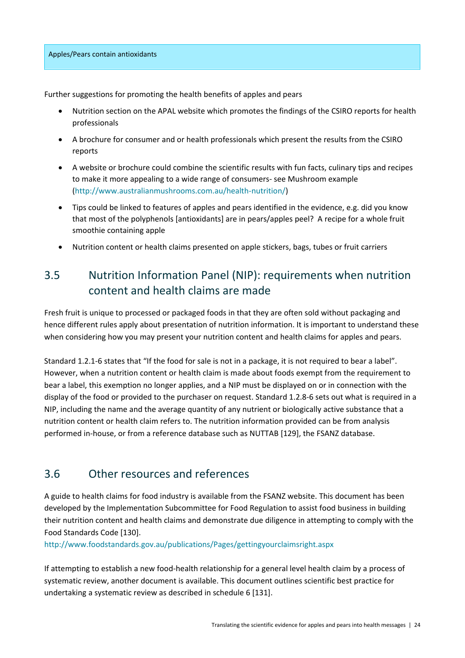Further suggestions for promoting the health benefits of apples and pears

- Nutrition section on the APAL website which promotes the findings of the CSIRO reports for health professionals
- A brochure for consumer and or health professionals which present the results from the CSIRO reports
- A website or brochure could combine the scientific results with fun facts, culinary tips and recipes to make it more appealing to a wide range of consumers‐ see Mushroom example (http://www.australianmushrooms.com.au/health‐nutrition/)
- Tips could be linked to features of apples and pears identified in the evidence, e.g. did you know that most of the polyphenols [antioxidants] are in pears/apples peel? A recipe for a whole fruit smoothie containing apple
- Nutrition content or health claims presented on apple stickers, bags, tubes or fruit carriers

# 3.5 Nutrition Information Panel (NIP): requirements when nutrition content and health claims are made

Fresh fruit is unique to processed or packaged foods in that they are often sold without packaging and hence different rules apply about presentation of nutrition information. It is important to understand these when considering how you may present your nutrition content and health claims for apples and pears.

Standard 1.2.1‐6 states that "If the food for sale is not in a package, it is not required to bear a label". However, when a nutrition content or health claim is made about foods exempt from the requirement to bear a label, this exemption no longer applies, and a NIP must be displayed on or in connection with the display of the food or provided to the purchaser on request. Standard 1.2.8‐6 sets out what is required in a NIP, including the name and the average quantity of any nutrient or biologically active substance that a nutrition content or health claim refers to. The nutrition information provided can be from analysis performed in‐house, or from a reference database such as NUTTAB [129], the FSANZ database.

# 3.6 Other resources and references

A guide to health claims for food industry is available from the FSANZ website. This document has been developed by the Implementation Subcommittee for Food Regulation to assist food business in building their nutrition content and health claims and demonstrate due diligence in attempting to comply with the Food Standards Code [130].

http://www.foodstandards.gov.au/publications/Pages/gettingyourclaimsright.aspx

If attempting to establish a new food‐health relationship for a general level health claim by a process of systematic review, another document is available. This document outlines scientific best practice for undertaking a systematic review as described in schedule 6 [131].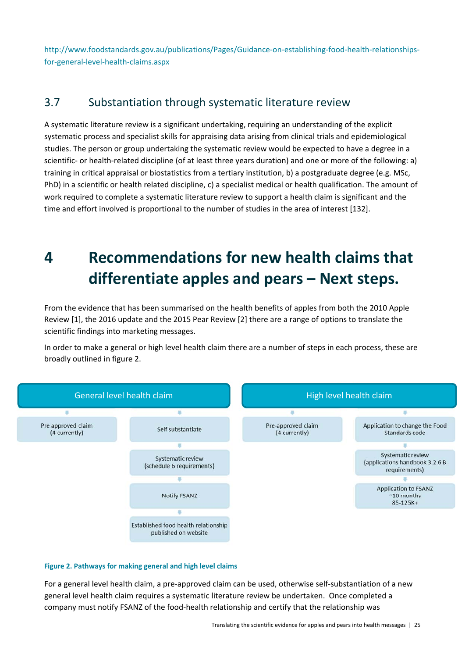http://www.foodstandards.gov.au/publications/Pages/Guidance-on-establishing-food-health-relationshipsfor‐general‐level‐health‐claims.aspx

### 3.7 Substantiation through systematic literature review

A systematic literature review is a significant undertaking, requiring an understanding of the explicit systematic process and specialist skills for appraising data arising from clinical trials and epidemiological studies. The person or group undertaking the systematic review would be expected to have a degree in a scientific- or health-related discipline (of at least three years duration) and one or more of the following: a) training in critical appraisal or biostatistics from a tertiary institution, b) a postgraduate degree (e.g. MSc, PhD) in a scientific or health related discipline, c) a specialist medical or health qualification. The amount of work required to complete a systematic literature review to support a health claim is significant and the time and effort involved is proportional to the number of studies in the area of interest [132].

# **4 Recommendations for new health claims that differentiate apples and pears – Next steps.**

From the evidence that has been summarised on the health benefits of apples from both the 2010 Apple Review [1], the 2016 update and the 2015 Pear Review [2] there are a range of options to translate the scientific findings into marketing messages.

In order to make a general or high level health claim there are a number of steps in each process, these are broadly outlined in figure 2.



#### **Figure 2. Pathways for making general and high level claims**

For a general level health claim, a pre-approved claim can be used, otherwise self-substantiation of a new general level health claim requires a systematic literature review be undertaken. Once completed a company must notify FSANZ of the food‐health relationship and certify that the relationship was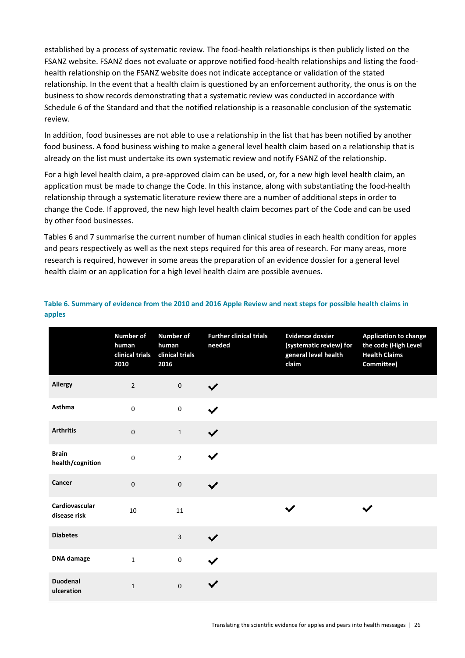established by a process of systematic review. The food‐health relationships is then publicly listed on the FSANZ website. FSANZ does not evaluate or approve notified food‐health relationships and listing the food‐ health relationship on the FSANZ website does not indicate acceptance or validation of the stated relationship. In the event that a health claim is questioned by an enforcement authority, the onus is on the business to show records demonstrating that a systematic review was conducted in accordance with Schedule 6 of the Standard and that the notified relationship is a reasonable conclusion of the systematic review.

In addition, food businesses are not able to use a relationship in the list that has been notified by another food business. A food business wishing to make a general level health claim based on a relationship that is already on the list must undertake its own systematic review and notify FSANZ of the relationship.

For a high level health claim, a pre‐approved claim can be used, or, for a new high level health claim, an application must be made to change the Code. In this instance, along with substantiating the food‐health relationship through a systematic literature review there are a number of additional steps in order to change the Code. If approved, the new high level health claim becomes part of the Code and can be used by other food businesses.

Tables 6 and 7 summarise the current number of human clinical studies in each health condition for apples and pears respectively as well as the next steps required for this area of research. For many areas, more research is required, however in some areas the preparation of an evidence dossier for a general level health claim or an application for a high level health claim are possible avenues.

|                                  | Number of<br>human<br>clinical trials<br>2010 | <b>Number of</b><br>human<br>clinical trials<br>2016 | <b>Further clinical trials</b><br>needed | <b>Evidence dossier</b><br>(systematic review) for<br>general level health<br>claim | <b>Application to change</b><br>the code (High Level<br><b>Health Claims</b><br>Committee) |
|----------------------------------|-----------------------------------------------|------------------------------------------------------|------------------------------------------|-------------------------------------------------------------------------------------|--------------------------------------------------------------------------------------------|
| Allergy                          | $\overline{2}$                                | $\pmb{0}$                                            |                                          |                                                                                     |                                                                                            |
| Asthma                           | $\pmb{0}$                                     | $\pmb{0}$                                            | ✔                                        |                                                                                     |                                                                                            |
| <b>Arthritis</b>                 | $\pmb{0}$                                     | $\mathbf 1$                                          | ✔                                        |                                                                                     |                                                                                            |
| <b>Brain</b><br>health/cognition | $\pmb{0}$                                     | $\overline{2}$                                       |                                          |                                                                                     |                                                                                            |
| Cancer                           | $\pmb{0}$                                     | $\pmb{0}$                                            | ✓                                        |                                                                                     |                                                                                            |
| Cardiovascular<br>disease risk   | 10                                            | 11                                                   |                                          |                                                                                     |                                                                                            |
| <b>Diabetes</b>                  |                                               | $\overline{3}$                                       |                                          |                                                                                     |                                                                                            |
| <b>DNA</b> damage                | $\mathbf 1$                                   | $\pmb{0}$                                            |                                          |                                                                                     |                                                                                            |
| <b>Duodenal</b><br>ulceration    | $\mathbf 1$                                   | $\pmb{0}$                                            |                                          |                                                                                     |                                                                                            |

#### **Table 6. Summary of evidence from the 2010 and 2016 Apple Review and next steps for possible health claims in apples**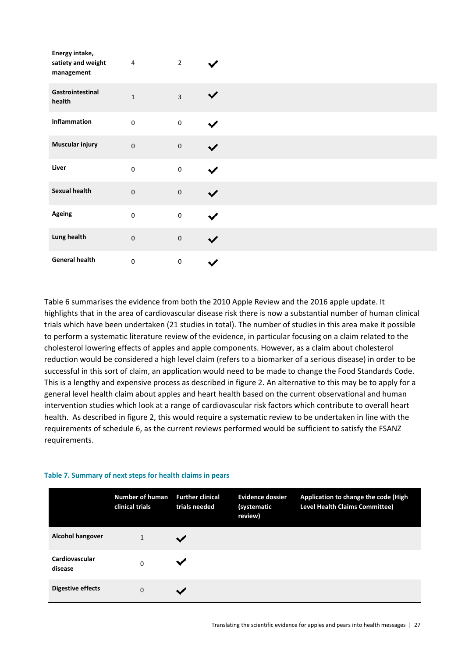| Energy intake,<br>satiety and weight<br>management | $\sqrt{4}$  | $\overline{2}$ |   |
|----------------------------------------------------|-------------|----------------|---|
| Gastrointestinal<br>health                         | $\mathbf 1$ | $\overline{3}$ |   |
| Inflammation                                       | $\pmb{0}$   | $\pmb{0}$      |   |
| Muscular injury                                    | $\pmb{0}$   | $\pmb{0}$      |   |
| Liver                                              | $\pmb{0}$   | $\pmb{0}$      |   |
| <b>Sexual health</b>                               | $\pmb{0}$   | $\mathbf 0$    |   |
| Ageing                                             | $\pmb{0}$   | $\pmb{0}$      |   |
| Lung health                                        | $\pmb{0}$   | $\pmb{0}$      | ✓ |
| <b>General health</b>                              | $\pmb{0}$   | $\pmb{0}$      |   |

Table 6 summarises the evidence from both the 2010 Apple Review and the 2016 apple update. It highlights that in the area of cardiovascular disease risk there is now a substantial number of human clinical trials which have been undertaken (21 studies in total). The number of studies in this area make it possible to perform a systematic literature review of the evidence, in particular focusing on a claim related to the cholesterol lowering effects of apples and apple components. However, as a claim about cholesterol reduction would be considered a high level claim (refers to a biomarker of a serious disease) in order to be successful in this sort of claim, an application would need to be made to change the Food Standards Code. This is a lengthy and expensive process as described in figure 2. An alternative to this may be to apply for a general level health claim about apples and heart health based on the current observational and human intervention studies which look at a range of cardiovascular risk factors which contribute to overall heart health. As described in figure 2, this would require a systematic review to be undertaken in line with the requirements of schedule 6, as the current reviews performed would be sufficient to satisfy the FSANZ requirements.

#### **Table 7. Summary of next steps for health claims in pears**

|                           | Number of human<br>clinical trials | <b>Further clinical</b><br>trials needed | <b>Evidence dossier</b><br>(systematic<br>review) | Application to change the code (High<br><b>Level Health Claims Committee)</b> |
|---------------------------|------------------------------------|------------------------------------------|---------------------------------------------------|-------------------------------------------------------------------------------|
| <b>Alcohol hangover</b>   | $\mathbf{1}$                       |                                          |                                                   |                                                                               |
| Cardiovascular<br>disease | $\Omega$                           |                                          |                                                   |                                                                               |
| Digestive effects         | $\Omega$                           |                                          |                                                   |                                                                               |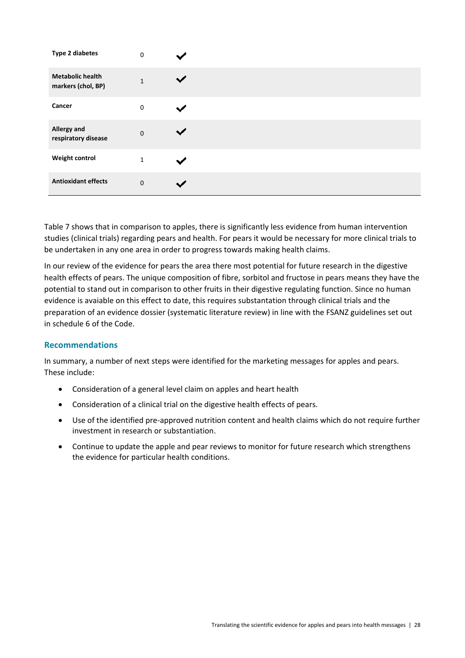| <b>Type 2 diabetes</b>                        | $\pmb{0}$    |  |
|-----------------------------------------------|--------------|--|
| <b>Metabolic health</b><br>markers (chol, BP) | $\mathbf{1}$ |  |
| Cancer                                        | $\pmb{0}$    |  |
| Allergy and<br>respiratory disease            | $\pmb{0}$    |  |
| <b>Weight control</b>                         | $\mathbf 1$  |  |
| <b>Antioxidant effects</b>                    | $\pmb{0}$    |  |

Table 7 shows that in comparison to apples, there is significantly less evidence from human intervention studies (clinical trials) regarding pears and health. For pears it would be necessary for more clinical trials to be undertaken in any one area in order to progress towards making health claims.

In our review of the evidence for pears the area there most potential for future research in the digestive health effects of pears. The unique composition of fibre, sorbitol and fructose in pears means they have the potential to stand out in comparison to other fruits in their digestive regulating function. Since no human evidence is avaiable on this effect to date, this requires substantation through clinical trials and the preparation of an evidence dossier (systematic literature review) in line with the FSANZ guidelines set out in schedule 6 of the Code.

#### **Recommendations**

In summary, a number of next steps were identified for the marketing messages for apples and pears. These include:

- Consideration of a general level claim on apples and heart health
- Consideration of a clinical trial on the digestive health effects of pears.
- Use of the identified pre-approved nutrition content and health claims which do not require further investment in research or substantiation.
- Continue to update the apple and pear reviews to monitor for future research which strengthens the evidence for particular health conditions.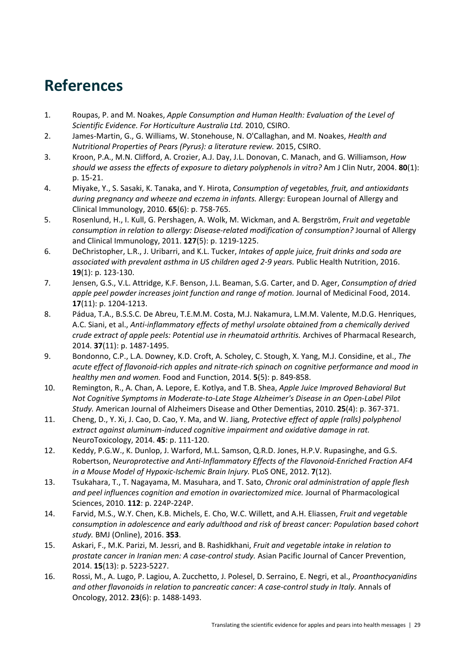# **References**

- 1. Roupas, P. and M. Noakes, *Apple Consumption and Human Health: Evaluation of the Level of Scientific Evidence. For Horticulture Australia Ltd.* 2010, CSIRO.
- 2. James‐Martin, G., G. Williams, W. Stonehouse, N. O'Callaghan, and M. Noakes, *Health and Nutritional Properties of Pears (Pyrus): a literature review.* 2015, CSIRO.
- 3. Kroon, P.A., M.N. Clifford, A. Crozier, A.J. Day, J.L. Donovan, C. Manach, and G. Williamson, *How should we assess the effects of exposure to dietary polyphenols in vitro?* Am J Clin Nutr, 2004. **80**(1): p. 15‐21.
- 4. Miyake, Y., S. Sasaki, K. Tanaka, and Y. Hirota, *Consumption of vegetables, fruit, and antioxidants during pregnancy and wheeze and eczema in infants.* Allergy: European Journal of Allergy and Clinical Immunology, 2010. **65**(6): p. 758‐765.
- 5. Rosenlund, H., I. Kull, G. Pershagen, A. Wolk, M. Wickman, and A. Bergström, *Fruit and vegetable consumption in relation to allergy: Disease‐related modification of consumption?* Journal of Allergy and Clinical Immunology, 2011. **127**(5): p. 1219‐1225.
- 6. DeChristopher, L.R., J. Uribarri, and K.L. Tucker, *Intakes of apple juice, fruit drinks and soda are associated with prevalent asthma in US children aged 2‐9 years.* Public Health Nutrition, 2016. **19**(1): p. 123‐130.
- 7. Jensen, G.S., V.L. Attridge, K.F. Benson, J.L. Beaman, S.G. Carter, and D. Ager, *Consumption of dried apple peel powder increases joint function and range of motion.* Journal of Medicinal Food, 2014. **17**(11): p. 1204‐1213.
- 8. Pádua, T.A., B.S.S.C. De Abreu, T.E.M.M. Costa, M.J. Nakamura, L.M.M. Valente, M.D.G. Henriques, A.C. Siani, et al., *Anti‐inflammatory effects of methyl ursolate obtained from a chemically derived crude extract of apple peels: Potential use in rheumatoid arthritis.* Archives of Pharmacal Research, 2014. **37**(11): p. 1487‐1495.
- 9. Bondonno, C.P., L.A. Downey, K.D. Croft, A. Scholey, C. Stough, X. Yang, M.J. Considine, et al., *The* acute effect of flavonoid-rich apples and nitrate-rich spinach on cognitive performance and mood in *healthy men and women.* Food and Function, 2014. **5**(5): p. 849‐858.
- 10. Remington, R., A. Chan, A. Lepore, E. Kotlya, and T.B. Shea, *Apple Juice Improved Behavioral But Not Cognitive Symptoms in Moderate‐to‐Late Stage Alzheimer's Disease in an Open‐Label Pilot Study.* American Journal of Alzheimers Disease and Other Dementias, 2010. **25**(4): p. 367‐371.
- 11. Cheng, D., Y. Xi, J. Cao, D. Cao, Y. Ma, and W. Jiang, *Protective effect of apple (ralls) polyphenol extract against aluminum‐induced cognitive impairment and oxidative damage in rat.* NeuroToxicology, 2014. **45**: p. 111‐120.
- 12. Keddy, P.G.W., K. Dunlop, J. Warford, M.L. Samson, Q.R.D. Jones, H.P.V. Rupasinghe, and G.S. Robertson, *Neuroprotective and Anti‐Inflammatory Effects of the Flavonoid‐Enriched Fraction AF4 in a Mouse Model of Hypoxic‐Ischemic Brain Injury.* PLoS ONE, 2012. **7**(12).
- 13. Tsukahara, T., T. Nagayama, M. Masuhara, and T. Sato, *Chronic oral administration of apple flesh and peel influences cognition and emotion in ovariectomized mice.* Journal of Pharmacological Sciences, 2010. **112**: p. 224P‐224P.
- 14. Farvid, M.S., W.Y. Chen, K.B. Michels, E. Cho, W.C. Willett, and A.H. Eliassen, *Fruit and vegetable consumption in adolescence and early adulthood and risk of breast cancer: Population based cohort study.* BMJ (Online), 2016. **353**.
- 15. Askari, F., M.K. Parizi, M. Jessri, and B. Rashidkhani, *Fruit and vegetable intake in relation to prostate cancer in Iranian men: A case‐control study.* Asian Pacific Journal of Cancer Prevention, 2014. **15**(13): p. 5223‐5227.
- 16. Rossi, M., A. Lugo, P. Lagiou, A. Zucchetto, J. Polesel, D. Serraino, E. Negri, et al., *Proanthocyanidins and other flavonoids in relation to pancreatic cancer: A case‐control study in Italy.* Annals of Oncology, 2012. **23**(6): p. 1488‐1493.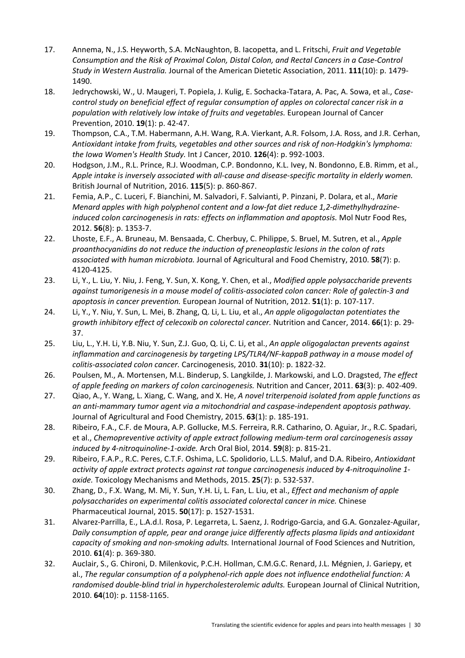- 17. Annema, N., J.S. Heyworth, S.A. McNaughton, B. Iacopetta, and L. Fritschi, *Fruit and Vegetable Consumption and the Risk of Proximal Colon, Distal Colon, and Rectal Cancers in a Case‐Control Study in Western Australia.* Journal of the American Dietetic Association, 2011. **111**(10): p. 1479‐ 1490.
- 18. Jedrychowski, W., U. Maugeri, T. Popiela, J. Kulig, E. Sochacka‐Tatara, A. Pac, A. Sowa, et al., *Case‐ control study on beneficial effect of regular consumption of apples on colorectal cancer risk in a population with relatively low intake of fruits and vegetables.* European Journal of Cancer Prevention, 2010. **19**(1): p. 42‐47.
- 19. Thompson, C.A., T.M. Habermann, A.H. Wang, R.A. Vierkant, A.R. Folsom, J.A. Ross, and J.R. Cerhan, *Antioxidant intake from fruits, vegetables and other sources and risk of non‐Hodgkin's lymphoma: the Iowa Women's Health Study.* Int J Cancer, 2010. **126**(4): p. 992‐1003.
- 20. Hodgson, J.M., R.L. Prince, R.J. Woodman, C.P. Bondonno, K.L. Ivey, N. Bondonno, E.B. Rimm, et al., *Apple intake is inversely associated with all‐cause and disease‐specific mortality in elderly women.* British Journal of Nutrition, 2016. **115**(5): p. 860‐867.
- 21. Femia, A.P., C. Luceri, F. Bianchini, M. Salvadori, F. Salvianti, P. Pinzani, P. Dolara, et al., *Marie Menard apples with high polyphenol content and a low‐fat diet reduce 1,2‐dimethylhydrazine‐ induced colon carcinogenesis in rats: effects on inflammation and apoptosis.* Mol Nutr Food Res, 2012. **56**(8): p. 1353‐7.
- 22. Lhoste, E.F., A. Bruneau, M. Bensaada, C. Cherbuy, C. Philippe, S. Bruel, M. Sutren, et al., *Apple proanthocyanidins do not reduce the induction of preneoplastic lesions in the colon of rats associated with human microbiota.* Journal of Agricultural and Food Chemistry, 2010. **58**(7): p. 4120‐4125.
- 23. Li, Y., L. Liu, Y. Niu, J. Feng, Y. Sun, X. Kong, Y. Chen, et al., *Modified apple polysaccharide prevents against tumorigenesis in a mouse model of colitis‐associated colon cancer: Role of galectin‐3 and apoptosis in cancer prevention.* European Journal of Nutrition, 2012. **51**(1): p. 107‐117.
- 24. Li, Y., Y. Niu, Y. Sun, L. Mei, B. Zhang, Q. Li, L. Liu, et al., *An apple oligogalactan potentiates the growth inhibitory effect of celecoxib on colorectal cancer.* Nutrition and Cancer, 2014. **66**(1): p. 29‐ 37.
- 25. Liu, L., Y.H. Li, Y.B. Niu, Y. Sun, Z.J. Guo, Q. Li, C. Li, et al., *An apple oligogalactan prevents against inflammation and carcinogenesis by targeting LPS/TLR4/NF‐kappaB pathway in a mouse model of colitis‐associated colon cancer.* Carcinogenesis, 2010. **31**(10): p. 1822‐32.
- 26. Poulsen, M., A. Mortensen, M.L. Binderup, S. Langkilde, J. Markowski, and L.O. Dragsted, *The effect of apple feeding on markers of colon carcinogenesis.* Nutrition and Cancer, 2011. **63**(3): p. 402‐409.
- 27. Qiao, A., Y. Wang, L. Xiang, C. Wang, and X. He, *A novel triterpenoid isolated from apple functions as an anti‐mammary tumor agent via a mitochondrial and caspase‐independent apoptosis pathway.* Journal of Agricultural and Food Chemistry, 2015. **63**(1): p. 185‐191.
- 28. Ribeiro, F.A., C.F. de Moura, A.P. Gollucke, M.S. Ferreira, R.R. Catharino, O. Aguiar, Jr., R.C. Spadari, et al., *Chemopreventive activity of apple extract following medium‐term oral carcinogenesis assay induced by 4‐nitroquinoline‐1‐oxide.* Arch Oral Biol, 2014. **59**(8): p. 815‐21.
- 29. Ribeiro, F.A.P., R.C. Peres, C.T.F. Oshima, L.C. Spolidorio, L.L.S. Maluf, and D.A. Ribeiro, *Antioxidant activity of apple extract protects against rat tongue carcinogenesis induced by 4‐nitroquinoline 1‐ oxide.* Toxicology Mechanisms and Methods, 2015. **25**(7): p. 532‐537.
- 30. Zhang, D., F.X. Wang, M. Mi, Y. Sun, Y.H. Li, L. Fan, L. Liu, et al., *Effect and mechanism of apple polysaccharides on experimental colitis associated colorectal cancer in mice.* Chinese Pharmaceutical Journal, 2015. **50**(17): p. 1527‐1531.
- 31. Alvarez‐Parrilla, E., L.A.d.l. Rosa, P. Legarreta, L. Saenz, J. Rodrigo‐Garcia, and G.A. Gonzalez‐Aguilar, *Daily consumption of apple, pear and orange juice differently affects plasma lipids and antioxidant capacity of smoking and non‐smoking adults.* International Journal of Food Sciences and Nutrition, 2010. **61**(4): p. 369‐380.
- 32. Auclair, S., G. Chironi, D. Milenkovic, P.C.H. Hollman, C.M.G.C. Renard, J.L. Mégnien, J. Gariepy, et al., *The regular consumption of a polyphenol‐rich apple does not influence endothelial function: A randomised double‐blind trial in hypercholesterolemic adults.* European Journal of Clinical Nutrition, 2010. **64**(10): p. 1158‐1165.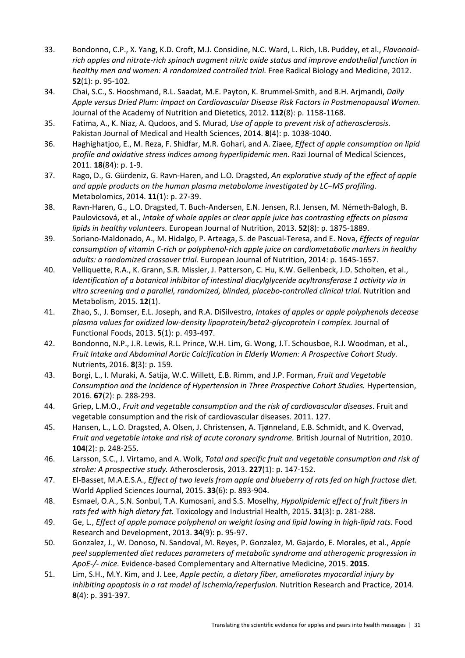- 33. Bondonno, C.P., X. Yang, K.D. Croft, M.J. Considine, N.C. Ward, L. Rich, I.B. Puddey, et al., *Flavonoid‐ rich apples and nitrate‐rich spinach augment nitric oxide status and improve endothelial function in healthy men and women: A randomized controlled trial.* Free Radical Biology and Medicine, 2012. **52**(1): p. 95‐102.
- 34. Chai, S.C., S. Hooshmand, R.L. Saadat, M.E. Payton, K. Brummel‐Smith, and B.H. Arjmandi, *Daily Apple versus Dried Plum: Impact on Cardiovascular Disease Risk Factors in Postmenopausal Women.* Journal of the Academy of Nutrition and Dietetics, 2012. **112**(8): p. 1158‐1168.
- 35. Fatima, A., K. Niaz, A. Qudoos, and S. Murad, *Use of apple to prevent risk of atherosclerosis.* Pakistan Journal of Medical and Health Sciences, 2014. **8**(4): p. 1038‐1040.
- 36. Haghighatjoo, E., M. Reza, F. Shidfar, M.R. Gohari, and A. Ziaee, *Effect of apple consumption on lipid profile and oxidative stress indices among hyperlipidemic men.* Razi Journal of Medical Sciences, 2011. **18**(84): p. 1‐9.
- 37. Rago, D., G. Gürdeniz, G. Ravn‐Haren, and L.O. Dragsted, *An explorative study of the effect of apple and apple products on the human plasma metabolome investigated by LC–MS profiling.* Metabolomics, 2014. **11**(1): p. 27‐39.
- 38. Ravn‐Haren, G., L.O. Dragsted, T. Buch‐Andersen, E.N. Jensen, R.I. Jensen, M. Németh‐Balogh, B. Paulovicsová, et al., *Intake of whole apples or clear apple juice has contrasting effects on plasma lipids in healthy volunteers.* European Journal of Nutrition, 2013. **52**(8): p. 1875‐1889.
- 39. Soriano‐Maldonado, A., M. Hidalgo, P. Arteaga, S. de Pascual‐Teresa, and E. Nova, *Effects of regular consumption of vitamin C‐rich or polyphenol‐rich apple juice on cardiometabolic markers in healthy adults: a randomized crossover trial.* European Journal of Nutrition, 2014: p. 1645‐1657.
- 40. Velliquette, R.A., K. Grann, S.R. Missler, J. Patterson, C. Hu, K.W. Gellenbeck, J.D. Scholten, et al., *Identification of a botanical inhibitor of intestinal diacylglyceride acyltransferase 1 activity via in vitro screening and a parallel, randomized, blinded, placebo‐controlled clinical trial.* Nutrition and Metabolism, 2015. **12**(1).
- 41. Zhao, S., J. Bomser, E.L. Joseph, and R.A. DiSilvestro, *Intakes of apples or apple polyphenols decease plasma values for oxidized low‐density lipoprotein/beta2‐glycoprotein I complex.* Journal of Functional Foods, 2013. **5**(1): p. 493‐497.
- 42. Bondonno, N.P., J.R. Lewis, R.L. Prince, W.H. Lim, G. Wong, J.T. Schousboe, R.J. Woodman, et al., *Fruit Intake and Abdominal Aortic Calcification in Elderly Women: A Prospective Cohort Study.* Nutrients, 2016. **8**(3): p. 159.
- 43. Borgi, L., I. Muraki, A. Satija, W.C. Willett, E.B. Rimm, and J.P. Forman, *Fruit and Vegetable Consumption and the Incidence of Hypertension in Three Prospective Cohort Studies.* Hypertension, 2016. **67**(2): p. 288‐293.
- 44. Griep, L.M.O., *Fruit and vegetable consumption and the risk of cardiovascular diseases*. Fruit and vegetable consumption and the risk of cardiovascular diseases. 2011. 127.
- 45. Hansen, L., L.O. Dragsted, A. Olsen, J. Christensen, A. Tjønneland, E.B. Schmidt, and K. Overvad, *Fruit and vegetable intake and risk of acute coronary syndrome.* British Journal of Nutrition, 2010. **104**(2): p. 248‐255.
- 46. Larsson, S.C., J. Virtamo, and A. Wolk, *Total and specific fruit and vegetable consumption and risk of stroke: A prospective study.* Atherosclerosis, 2013. **227**(1): p. 147‐152.
- 47. El‐Basset, M.A.E.S.A., *Effect of two levels from apple and blueberry of rats fed on high fructose diet.* World Applied Sciences Journal, 2015. **33**(6): p. 893‐904.
- 48. Esmael, O.A., S.N. Sonbul, T.A. Kumosani, and S.S. Moselhy, *Hypolipidemic effect of fruit fibers in rats fed with high dietary fat.* Toxicology and Industrial Health, 2015. **31**(3): p. 281‐288.
- 49. Ge, L., *Effect of apple pomace polyphenol on weight losing and lipid lowing in high‐lipid rats.* Food Research and Development, 2013. **34**(9): p. 95‐97.
- 50. Gonzalez, J., W. Donoso, N. Sandoval, M. Reyes, P. Gonzalez, M. Gajardo, E. Morales, et al., *Apple peel supplemented diet reduces parameters of metabolic syndrome and atherogenic progression in ApoE‐/‐ mice.* Evidence‐based Complementary and Alternative Medicine, 2015. **2015**.
- 51. Lim, S.H., M.Y. Kim, and J. Lee, *Apple pectin, a dietary fiber, ameliorates myocardial injury by inhibiting apoptosis in a rat model of ischemia/reperfusion.* Nutrition Research and Practice, 2014. **8**(4): p. 391‐397.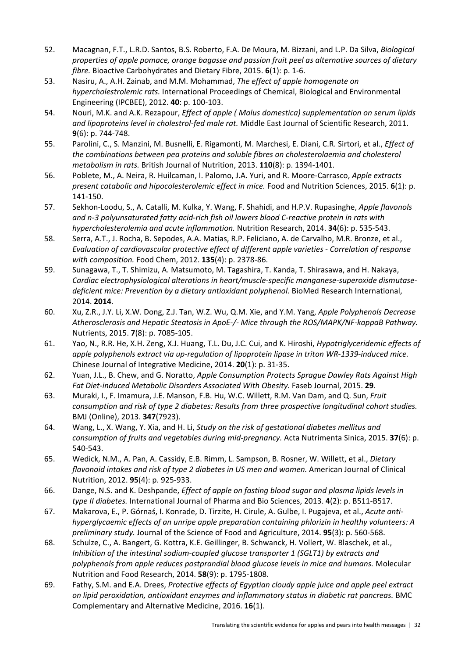- 52. Macagnan, F.T., L.R.D. Santos, B.S. Roberto, F.A. De Moura, M. Bizzani, and L.P. Da Silva, *Biological properties of apple pomace, orange bagasse and passion fruit peel as alternative sources of dietary fibre.* Bioactive Carbohydrates and Dietary Fibre, 2015. **6**(1): p. 1‐6.
- 53. Nasiru, A., A.H. Zainab, and M.M. Mohammad, *The effect of apple homogenate on hypercholestrolemic rats.* International Proceedings of Chemical, Biological and Environmental Engineering (IPCBEE), 2012. **40**: p. 100‐103.
- 54. Nouri, M.K. and A.K. Rezapour, *Effect of apple ( Malus domestica) supplementation on serum lipids and lipoproteins level in cholestrol‐fed male rat.* Middle East Journal of Scientific Research, 2011. **9**(6): p. 744‐748.
- 55. Parolini, C., S. Manzini, M. Busnelli, E. Rigamonti, M. Marchesi, E. Diani, C.R. Sirtori, et al., *Effect of the combinations between pea proteins and soluble fibres on cholesterolaemia and cholesterol metabolism in rats.* British Journal of Nutrition, 2013. **110**(8): p. 1394‐1401.
- 56. Poblete, M., A. Neira, R. Huilcaman, I. Palomo, J.A. Yuri, and R. Moore‐Carrasco, *Apple extracts present catabolic and hipocolesterolemic effect in mice.* Food and Nutrition Sciences, 2015. **6**(1): p. 141‐150.
- 57. Sekhon‐Loodu, S., A. Catalli, M. Kulka, Y. Wang, F. Shahidi, and H.P.V. Rupasinghe, *Apple flavonols* and n-3 polyunsaturated fatty acid-rich fish oil lowers blood C-reactive protein in rats with *hypercholesterolemia and acute inflammation.* Nutrition Research, 2014. **34**(6): p. 535‐543.
- 58. Serra, A.T., J. Rocha, B. Sepodes, A.A. Matias, R.P. Feliciano, A. de Carvalho, M.R. Bronze, et al., *Evaluation of cardiovascular protective effect of different apple varieties ‐ Correlation of response with composition.* Food Chem, 2012. **135**(4): p. 2378‐86.
- 59. Sunagawa, T., T. Shimizu, A. Matsumoto, M. Tagashira, T. Kanda, T. Shirasawa, and H. Nakaya, *Cardiac electrophysiological alterations in heart/muscle‐specific manganese‐superoxide dismutase‐ deficient mice: Prevention by a dietary antioxidant polyphenol.* BioMed Research International, 2014. **2014**.
- 60. Xu, Z.R., J.Y. Li, X.W. Dong, Z.J. Tan, W.Z. Wu, Q.M. Xie, and Y.M. Yang, *Apple Polyphenols Decrease Atherosclerosis and Hepatic Steatosis in ApoE‐/‐ Mice through the ROS/MAPK/NF‐kappaB Pathway.* Nutrients, 2015. **7**(8): p. 7085‐105.
- 61. Yao, N., R.R. He, X.H. Zeng, X.J. Huang, T.L. Du, J.C. Cui, and K. Hiroshi, *Hypotriglyceridemic effects of apple polyphenols extract via up‐regulation of lipoprotein lipase in triton WR‐1339‐induced mice.* Chinese Journal of Integrative Medicine, 2014. **20**(1): p. 31‐35.
- 62. Yuan, J.L., B. Chew, and G. Noratto, *Apple Consumption Protects Sprague Dawley Rats Against High Fat Diet‐induced Metabolic Disorders Associated With Obesity.* Faseb Journal, 2015. **29**.
- 63. Muraki, I., F. Imamura, J.E. Manson, F.B. Hu, W.C. Willett, R.M. Van Dam, and Q. Sun, *Fruit consumption and risk of type 2 diabetes: Results from three prospective longitudinal cohort studies.* BMJ (Online), 2013. **347**(7923).
- 64. Wang, L., X. Wang, Y. Xia, and H. Li, *Study on the risk of gestational diabetes mellitus and consumption of fruits and vegetables during mid‐pregnancy.* Acta Nutrimenta Sinica, 2015. **37**(6): p. 540‐543.
- 65. Wedick, N.M., A. Pan, A. Cassidy, E.B. Rimm, L. Sampson, B. Rosner, W. Willett, et al., *Dietary flavonoid intakes and risk of type 2 diabetes in US men and women.* American Journal of Clinical Nutrition, 2012. **95**(4): p. 925‐933.
- 66. Dange, N.S. and K. Deshpande, *Effect of apple on fasting blood sugar and plasma lipids levels in type II diabetes.* International Journal of Pharma and Bio Sciences, 2013. **4**(2): p. B511‐B517.
- 67. Makarova, E., P. Górnaś, I. Konrade, D. Tirzite, H. Cirule, A. Gulbe, I. Pugajeva, et al., *Acute anti‐ hyperglycaemic effects of an unripe apple preparation containing phlorizin in healthy volunteers: A preliminary study.* Journal of the Science of Food and Agriculture, 2014. **95**(3): p. 560‐568.
- 68. Schulze, C., A. Bangert, G. Kottra, K.E. Geillinger, B. Schwanck, H. Vollert, W. Blaschek, et al., *Inhibition of the intestinal sodium‐coupled glucose transporter 1 (SGLT1) by extracts and polyphenols from apple reduces postprandial blood glucose levels in mice and humans.* Molecular Nutrition and Food Research, 2014. **58**(9): p. 1795‐1808.
- 69. Fathy, S.M. and E.A. Drees, *Protective effects of Egyptian cloudy apple juice and apple peel extract on lipid peroxidation, antioxidant enzymes and inflammatory status in diabetic rat pancreas.* BMC Complementary and Alternative Medicine, 2016. **16**(1).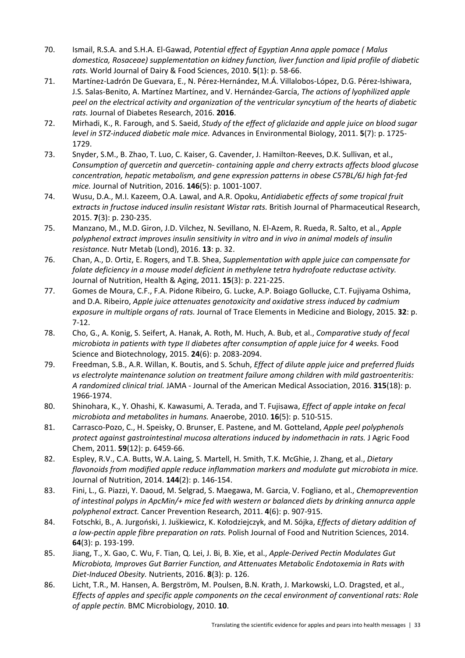- 70. Ismail, R.S.A. and S.H.A. El‐Gawad, *Potential effect of Egyptian Anna apple pomace ( Malus domestica, Rosaceae) supplementation on kidney function, liver function and lipid profile of diabetic rats.* World Journal of Dairy & Food Sciences, 2010. **5**(1): p. 58‐66.
- 71. Martínez‐Ladrón De Guevara, E., N. Pérez‐Hernández, M.Á. Villalobos‐López, D.G. Pérez‐Ishiwara, J.S. Salas‐Benito, A. Martínez Martínez, and V. Hernández‐García, *The actions of lyophilized apple peel on the electrical activity and organization of the ventricular syncytium of the hearts of diabetic rats.* Journal of Diabetes Research, 2016. **2016**.
- 72. Mirhadi, K., R. Farough, and S. Saeid, *Study of the effect of gliclazide and apple juice on blood sugar level in STZ‐induced diabetic male mice.* Advances in Environmental Biology, 2011. **5**(7): p. 1725‐ 1729.
- 73. Snyder, S.M., B. Zhao, T. Luo, C. Kaiser, G. Cavender, J. Hamilton‐Reeves, D.K. Sullivan, et al., *Consumption of quercetin and quercetin‐ containing apple and cherry extracts affects blood glucose concentration, hepatic metabolism, and gene expression patterns in obese C57BL/6J high fat‐fed mice.* Journal of Nutrition, 2016. **146**(5): p. 1001‐1007.
- 74. Wusu, D.A., M.I. Kazeem, O.A. Lawal, and A.R. Opoku, *Antidiabetic effects of some tropical fruit extracts in fructose induced insulin resistant Wistar rats.* British Journal of Pharmaceutical Research, 2015. **7**(3): p. 230‐235.
- 75. Manzano, M., M.D. Giron, J.D. Vilchez, N. Sevillano, N. El‐Azem, R. Rueda, R. Salto, et al., *Apple polyphenol extract improves insulin sensitivity in vitro and in vivo in animal models of insulin resistance.* Nutr Metab (Lond), 2016. **13**: p. 32.
- 76. Chan, A., D. Ortiz, E. Rogers, and T.B. Shea, *Supplementation with apple juice can compensate for folate deficiency in a mouse model deficient in methylene tetra hydrofoate reductase activity.* Journal of Nutrition, Health & Aging, 2011. **15**(3): p. 221‐225.
- 77. Gomes de Moura, C.F., F.A. Pidone Ribeiro, G. Lucke, A.P. Boiago Gollucke, C.T. Fujiyama Oshima, and D.A. Ribeiro, *Apple juice attenuates genotoxicity and oxidative stress induced by cadmium exposure in multiple organs of rats.* Journal of Trace Elements in Medicine and Biology, 2015. **32**: p. 7‐12.
- 78. Cho, G., A. Konig, S. Seifert, A. Hanak, A. Roth, M. Huch, A. Bub, et al., *Comparative study of fecal microbiota in patients with type II diabetes after consumption of apple juice for 4 weeks.* Food Science and Biotechnology, 2015. **24**(6): p. 2083‐2094.
- 79. Freedman, S.B., A.R. Willan, K. Boutis, and S. Schuh, *Effect of dilute apple juice and preferred fluids vs electrolyte maintenance solution on treatment failure among children with mild gastroenteritis: A randomized clinical trial.* JAMA ‐ Journal of the American Medical Association, 2016. **315**(18): p. 1966‐1974.
- 80. Shinohara, K., Y. Ohashi, K. Kawasumi, A. Terada, and T. Fujisawa, *Effect of apple intake on fecal microbiota and metabolites in humans.* Anaerobe, 2010. **16**(5): p. 510‐515.
- 81. Carrasco‐Pozo, C., H. Speisky, O. Brunser, E. Pastene, and M. Gotteland, *Apple peel polyphenols protect against gastrointestinal mucosa alterations induced by indomethacin in rats.* J Agric Food Chem, 2011. **59**(12): p. 6459‐66.
- 82. Espley, R.V., C.A. Butts, W.A. Laing, S. Martell, H. Smith, T.K. McGhie, J. Zhang, et al., *Dietary flavonoids from modified apple reduce inflammation markers and modulate gut microbiota in mice.* Journal of Nutrition, 2014. **144**(2): p. 146‐154.
- 83. Fini, L., G. Piazzi, Y. Daoud, M. Selgrad, S. Maegawa, M. Garcia, V. Fogliano, et al., *Chemoprevention of intestinal polyps in ApcMin/+ mice fed with western or balanced diets by drinking annurca apple polyphenol extract.* Cancer Prevention Research, 2011. **4**(6): p. 907‐915.
- 84. Fotschki, B., A. Jurgoński, J. Juškiewicz, K. Kołodziejczyk, and M. Sójka, *Effects of dietary addition of a low‐pectin apple fibre preparation on rats.* Polish Journal of Food and Nutrition Sciences, 2014. **64**(3): p. 193‐199.
- 85. Jiang, T., X. Gao, C. Wu, F. Tian, Q. Lei, J. Bi, B. Xie, et al., *Apple‐Derived Pectin Modulates Gut Microbiota, Improves Gut Barrier Function, and Attenuates Metabolic Endotoxemia in Rats with Diet‐Induced Obesity.* Nutrients, 2016. **8**(3): p. 126.
- 86. Licht, T.R., M. Hansen, A. Bergström, M. Poulsen, B.N. Krath, J. Markowski, L.O. Dragsted, et al., *Effects of apples and specific apple components on the cecal environment of conventional rats: Role of apple pectin.* BMC Microbiology, 2010. **10**.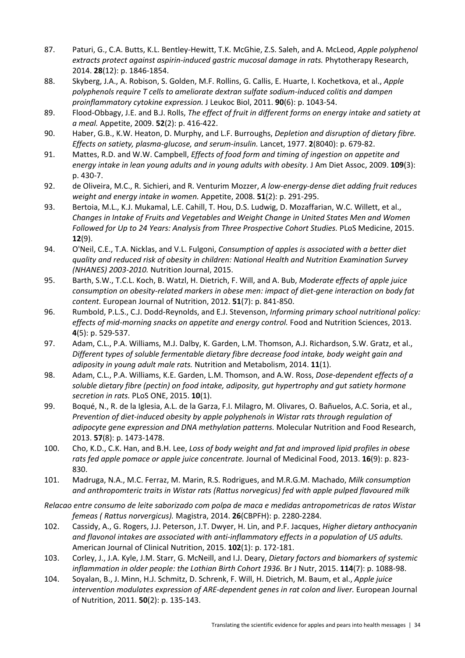- 87. Paturi, G., C.A. Butts, K.L. Bentley‐Hewitt, T.K. McGhie, Z.S. Saleh, and A. McLeod, *Apple polyphenol extracts protect against aspirin‐induced gastric mucosal damage in rats.* Phytotherapy Research, 2014. **28**(12): p. 1846‐1854.
- 88. Skyberg, J.A., A. Robison, S. Golden, M.F. Rollins, G. Callis, E. Huarte, I. Kochetkova, et al., *Apple polyphenols require T cells to ameliorate dextran sulfate sodium‐induced colitis and dampen proinflammatory cytokine expression.* J Leukoc Biol, 2011. **90**(6): p. 1043‐54.
- 89. Flood‐Obbagy, J.E. and B.J. Rolls, *The effect of fruit in different forms on energy intake and satiety at a meal.* Appetite, 2009. **52**(2): p. 416‐422.
- 90. Haber, G.B., K.W. Heaton, D. Murphy, and L.F. Burroughs, *Depletion and disruption of dietary fibre. Effects on satiety, plasma‐glucose, and serum‐insulin.* Lancet, 1977. **2**(8040): p. 679‐82.
- 91. Mattes, R.D. and W.W. Campbell, *Effects of food form and timing of ingestion on appetite and energy intake in lean young adults and in young adults with obesity.* J Am Diet Assoc, 2009. **109**(3): p. 430‐7.
- 92. de Oliveira, M.C., R. Sichieri, and R. Venturim Mozzer, *A low‐energy‐dense diet adding fruit reduces weight and energy intake in women.* Appetite, 2008. **51**(2): p. 291‐295.
- 93. Bertoia, M.L., K.J. Mukamal, L.E. Cahill, T. Hou, D.S. Ludwig, D. Mozaffarian, W.C. Willett, et al., *Changes in Intake of Fruits and Vegetables and Weight Change in United States Men and Women Followed for Up to 24 Years: Analysis from Three Prospective Cohort Studies.* PLoS Medicine, 2015. **12**(9).
- 94. O'Neil, C.E., T.A. Nicklas, and V.L. Fulgoni, *Consumption of apples is associated with a better diet quality and reduced risk of obesity in children: National Health and Nutrition Examination Survey (NHANES) 2003‐2010.* Nutrition Journal, 2015.
- 95. Barth, S.W., T.C.L. Koch, B. Watzl, H. Dietrich, F. Will, and A. Bub, *Moderate effects of apple juice consumption on obesity‐related markers in obese men: impact of diet‐gene interaction on body fat content.* European Journal of Nutrition, 2012. **51**(7): p. 841‐850.
- 96. Rumbold, P.L.S., C.J. Dodd‐Reynolds, and E.J. Stevenson, *Informing primary school nutritional policy: effects of mid‐morning snacks on appetite and energy control.* Food and Nutrition Sciences, 2013. **4**(5): p. 529‐537.
- 97. Adam, C.L., P.A. Williams, M.J. Dalby, K. Garden, L.M. Thomson, A.J. Richardson, S.W. Gratz, et al., *Different types of soluble fermentable dietary fibre decrease food intake, body weight gain and adiposity in young adult male rats.* Nutrition and Metabolism, 2014. **11**(1).
- 98. Adam, C.L., P.A. Williams, K.E. Garden, L.M. Thomson, and A.W. Ross, *Dose‐dependent effects of a soluble dietary fibre (pectin) on food intake, adiposity, gut hypertrophy and gut satiety hormone secretion in rats.* PLoS ONE, 2015. **10**(1).
- 99. Boqué, N., R. de la Iglesia, A.L. de la Garza, F.I. Milagro, M. Olivares, O. Bañuelos, A.C. Soria, et al., *Prevention of diet‐induced obesity by apple polyphenols in Wistar rats through regulation of adipocyte gene expression and DNA methylation patterns.* Molecular Nutrition and Food Research, 2013. **57**(8): p. 1473‐1478.
- 100. Cho, K.D., C.K. Han, and B.H. Lee, *Loss of body weight and fat and improved lipid profiles in obese rats fed apple pomace or apple juice concentrate.* Journal of Medicinal Food, 2013. **16**(9): p. 823‐ 830.
- 101. Madruga, N.A., M.C. Ferraz, M. Marin, R.S. Rodrigues, and M.R.G.M. Machado, *Milk consumption and anthropomteric traits in Wistar rats (Rattus norvegicus) fed with apple pulped flavoured milk*
- *Relacao entre consumo de leite saborizado com polpa de maca e medidas antropometricas de ratos Wistar femeas ( Rattus norvergicus).* Magistra, 2014. **26**(CBPFH): p. 2280‐2284.
- 102. Cassidy, A., G. Rogers, J.J. Peterson, J.T. Dwyer, H. Lin, and P.F. Jacques, *Higher dietary anthocyanin and flavonol intakes are associated with anti‐inflammatory effects in a population of US adults.* American Journal of Clinical Nutrition, 2015. **102**(1): p. 172‐181.
- 103. Corley, J., J.A. Kyle, J.M. Starr, G. McNeill, and I.J. Deary, *Dietary factors and biomarkers of systemic inflammation in older people: the Lothian Birth Cohort 1936.* Br J Nutr, 2015. **114**(7): p. 1088‐98.
- 104. Soyalan, B., J. Minn, H.J. Schmitz, D. Schrenk, F. Will, H. Dietrich, M. Baum, et al., *Apple juice intervention modulates expression of ARE‐dependent genes in rat colon and liver.* European Journal of Nutrition, 2011. **50**(2): p. 135‐143.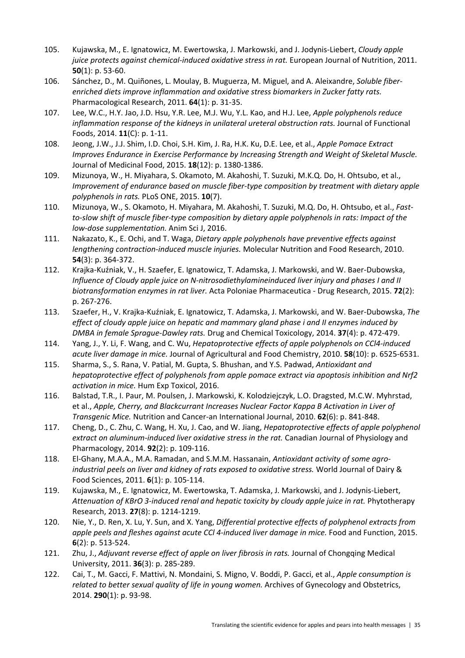- 105. Kujawska, M., E. Ignatowicz, M. Ewertowska, J. Markowski, and J. Jodynis‐Liebert, *Cloudy apple juice protects against chemical‐induced oxidative stress in rat.* European Journal of Nutrition, 2011. **50**(1): p. 53‐60.
- 106. Sánchez, D., M. Quiñones, L. Moulay, B. Muguerza, M. Miguel, and A. Aleixandre, *Soluble fiber‐ enriched diets improve inflammation and oxidative stress biomarkers in Zucker fatty rats.* Pharmacological Research, 2011. **64**(1): p. 31‐35.
- 107. Lee, W.C., H.Y. Jao, J.D. Hsu, Y.R. Lee, M.J. Wu, Y.L. Kao, and H.J. Lee, *Apple polyphenols reduce inflammation response of the kidneys in unilateral ureteral obstruction rats.* Journal of Functional Foods, 2014. **11**(C): p. 1‐11.
- 108. Jeong, J.W., J.J. Shim, I.D. Choi, S.H. Kim, J. Ra, H.K. Ku, D.E. Lee, et al., *Apple Pomace Extract Improves Endurance in Exercise Performance by Increasing Strength and Weight of Skeletal Muscle.* Journal of Medicinal Food, 2015. **18**(12): p. 1380‐1386.
- 109. Mizunoya, W., H. Miyahara, S. Okamoto, M. Akahoshi, T. Suzuki, M.K.Q. Do, H. Ohtsubo, et al., *Improvement of endurance based on muscle fiber‐type composition by treatment with dietary apple polyphenols in rats.* PLoS ONE, 2015. **10**(7).
- 110. Mizunoya, W., S. Okamoto, H. Miyahara, M. Akahoshi, T. Suzuki, M.Q. Do, H. Ohtsubo, et al., *Fast‐* to-slow shift of muscle fiber-type composition by dietary apple polyphenols in rats: Impact of the *low‐dose supplementation.* Anim Sci J, 2016.
- 111. Nakazato, K., E. Ochi, and T. Waga, *Dietary apple polyphenols have preventive effects against lengthening contraction‐induced muscle injuries.* Molecular Nutrition and Food Research, 2010. **54**(3): p. 364‐372.
- 112. Krajka‐Kuźniak, V., H. Szaefer, E. Ignatowicz, T. Adamska, J. Markowski, and W. Baer‐Dubowska, *Influence of Cloudy apple juice on N‐nitrosodiethylamineinduced liver injury and phases I and II biotransformation enzymes in rat liver.* Acta Poloniae Pharmaceutica ‐ Drug Research, 2015. **72**(2): p. 267‐276.
- 113. Szaefer, H., V. Krajka‐Kuźniak, E. Ignatowicz, T. Adamska, J. Markowski, and W. Baer‐Dubowska, *The effect of cloudy apple juice on hepatic and mammary gland phase i and II enzymes induced by DMBA in female Sprague‐Dawley rats.* Drug and Chemical Toxicology, 2014. **37**(4): p. 472‐479.
- 114. Yang, J., Y. Li, F. Wang, and C. Wu, *Hepatoprotective effects of apple polyphenols on CCl4‐induced acute liver damage in mice.* Journal of Agricultural and Food Chemistry, 2010. **58**(10): p. 6525‐6531.
- 115. Sharma, S., S. Rana, V. Patial, M. Gupta, S. Bhushan, and Y.S. Padwad, *Antioxidant and hepatoprotective effect of polyphenols from apple pomace extract via apoptosis inhibition and Nrf2 activation in mice.* Hum Exp Toxicol, 2016.
- 116. Balstad, T.R., I. Paur, M. Poulsen, J. Markowski, K. Kolodziejczyk, L.O. Dragsted, M.C.W. Myhrstad, et al., *Apple, Cherry, and Blackcurrant Increases Nuclear Factor Kappa B Activation in Liver of Transgenic Mice.* Nutrition and Cancer‐an International Journal, 2010. **62**(6): p. 841‐848.
- 117. Cheng, D., C. Zhu, C. Wang, H. Xu, J. Cao, and W. Jiang, *Hepatoprotective effects of apple polyphenol extract on aluminum‐induced liver oxidative stress in the rat.* Canadian Journal of Physiology and Pharmacology, 2014. **92**(2): p. 109‐116.
- 118. El‐Ghany, M.A.A., M.A. Ramadan, and S.M.M. Hassanain, *Antioxidant activity of some agro‐ industrial peels on liver and kidney of rats exposed to oxidative stress.* World Journal of Dairy & Food Sciences, 2011. **6**(1): p. 105‐114.
- 119. Kujawska, M., E. Ignatowicz, M. Ewertowska, T. Adamska, J. Markowski, and J. Jodynis‐Liebert, *Attenuation of KBrO 3‐induced renal and hepatic toxicity by cloudy apple juice in rat.* Phytotherapy Research, 2013. **27**(8): p. 1214‐1219.
- 120. Nie, Y., D. Ren, X. Lu, Y. Sun, and X. Yang, *Differential protective effects of polyphenol extracts from apple peels and fleshes against acute CCl 4‐induced liver damage in mice.* Food and Function, 2015. **6**(2): p. 513‐524.
- 121. Zhu, J., *Adjuvant reverse effect of apple on liver fibrosis in rats.* Journal of Chongqing Medical University, 2011. **36**(3): p. 285‐289.
- 122. Cai, T., M. Gacci, F. Mattivi, N. Mondaini, S. Migno, V. Boddi, P. Gacci, et al., *Apple consumption is related to better sexual quality of life in young women.* Archives of Gynecology and Obstetrics, 2014. **290**(1): p. 93‐98.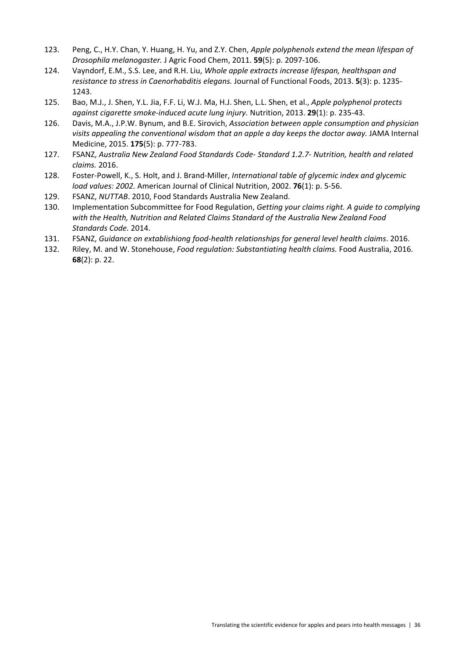- 123. Peng, C., H.Y. Chan, Y. Huang, H. Yu, and Z.Y. Chen, *Apple polyphenols extend the mean lifespan of Drosophila melanogaster.* J Agric Food Chem, 2011. **59**(5): p. 2097‐106.
- 124. Vayndorf, E.M., S.S. Lee, and R.H. Liu, *Whole apple extracts increase lifespan, healthspan and resistance to stress in Caenorhabditis elegans.* Journal of Functional Foods, 2013. **5**(3): p. 1235‐ 1243.
- 125. Bao, M.J., J. Shen, Y.L. Jia, F.F. Li, W.J. Ma, H.J. Shen, L.L. Shen, et al., *Apple polyphenol protects against cigarette smoke‐induced acute lung injury.* Nutrition, 2013. **29**(1): p. 235‐43.
- 126. Davis, M.A., J.P.W. Bynum, and B.E. Sirovich, *Association between apple consumption and physician visits appealing the conventional wisdom that an apple a day keeps the doctor away.* JAMA Internal Medicine, 2015. **175**(5): p. 777‐783.
- 127. FSANZ, *Australia New Zealand Food Standards Code‐ Standard 1.2.7‐ Nutrition, health and related claims.* 2016.
- 128. Foster‐Powell, K., S. Holt, and J. Brand‐Miller, *International table of glycemic index and glycemic load values: 2002.* American Journal of Clinical Nutrition, 2002. **76**(1): p. 5‐56.
- 129. FSANZ, *NUTTAB*. 2010, Food Standards Australia New Zealand.
- 130. Implementation Subcommittee for Food Regulation, *Getting your claims right. A guide to complying with the Health, Nutrition and Related Claims Standard of the Australia New Zealand Food Standards Code.* 2014.
- 131. FSANZ, *Guidance on extablishiong food‐health relationships for general level health claims*. 2016.
- 132. Riley, M. and W. Stonehouse, *Food regulation: Substantiating health claims.* Food Australia, 2016. **68**(2): p. 22.